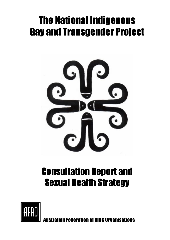# The National Indigenous Gay and Transgender Project



# Consultation Report and Sexual Health Strategy



**n Federation of AIDS Organisations**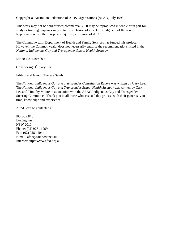Copyright Ó Australian Federation of AIDS Organisations (AFAO) July 1998.

This work may not be sold or used commercially. It may be reproduced in whole or in part for study or training purposes subject to the inclusion of an acknowledgment of the source. Reproduction for other purposes requires permission of AFAO.

The Commonwealth Department of Health and Family Services has funded this project. However, the Commonwealth does not necessarily endorse the recommendations listed in the *National Indigenous Gay and Transgender Sexual Health Strategy*.

ISBN: 1 876469 00 5

Cover design Ó Gary Lee

Editing and layout: Therese Sands

The *National Indigenous Gay and Transgender Consultation Report* was written by Gary Lee. The *National Indigenous Gay and Transgender Sexual Health Strategy* was written by Gary Lee and Timothy Moore in association with the AFAO Indigenous Gay and Transgender Steering Committee. Thank you to all those who assisted this process with their generosity in time, knowledge and experience.

AFAO can be contacted at:

PO Box 876 Darlinghurst NSW 2010 Phone: (02) 9281 1999 Fax: (02) 9281 1044 E-mail: afao@rainbow.net.au Internet: http://www.afao.org.au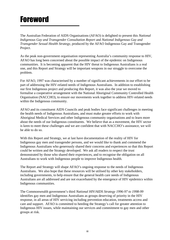# Foreword

The Australian Federation of AIDS Organisations (AFAO) is delighted to present this *National Indigenous Gay and Transgender Consultation Report* and *National Indigenous Gay and Transgender Sexual Health Strategy*, produced by the AFAO Indigenous Gay and Transgender Project.

As the peak non-government organisation representing Australia's community response to HIV, AFAO has long been concerned about the possible impact of the epidemic on Indigenous communities. It is becoming apparent that the HIV threat to Indigenous Australians is a real one, and this Report and Strategy will be important weapons in our struggle to overcome the problem.

For AFAO, 1997 was characterised by a number of significant achievements in our effort to be part of addressing the HIV-related needs of Indigenous Australians. In addition to establishing our first Indigenous project and producing this Report, it was also the year we moved to formalise a cooperative arrangement with the National Aboriginal Community Controlled Health Organisation (NACCHO), to ensure our movements work together to address HIV-related needs within the Indigenous community.

AFAO and its constituent AIDS Councils and peak bodies face significant challenges in meeting the health needs of Indigenous Australians, and must make greater efforts to work with Aboriginal Medical Services and other Indigenous community organisations and to learn more about the needs of our Indigenous constituents. We believe that as a movement, the HIV sector is keen to meet these challenges and we are confident that with NACCHO's assistance, we will be able to do so.

With this Report and Strategy, we at last have documentation of the reality of HIV for Indigenous gay men and transgender persons, and we would like to thank and commend the Indigenous Australians who generously shared their concerns and experiences so that this Report could be written and the Strategy developed. We ask all readers to respect the trust demonstrated by those who shared their experiences, and to recognise the obligation on all Australians to work with Indigenous people to improve Indigenous health.

The Report and Strategy will shape AFAO's ongoing response to the needs of Indigenous Australians. We also hope that these resources will be utilised by other key stakeholders, including governments, to help ensure that the general health care needs of Indigenous Australians are all addressed and are not exacerbated by the emergence of HIV epidemics within Indigenous communities.

The Commonwealth government's third *National HIV/AIDS Strategy 1996-97 to 1998-99* identifies gay men and Indigenous Australians as groups deserving of priority in the HIV response, in all areas of HIV servicing including prevention education, treatments access and care and support. AFAO is committed to heeding the Strategy's call for greater attention to Indigenous HIV issues, while maintaining our services and commitment to gay men and other groups at risk.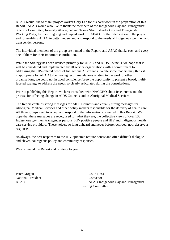AFAO would like to thank project worker Gary Lee for his hard work in the preparation of this Report. AFAO would also like to thank the members of the Indigenous Gay and Transgender Steering Committee, formerly Aboriginal and Torres Strait Islander Gay and Transgender Working Party, for their ongoing and unpaid work for AFAO, for their dedication to the project and for enabling AFAO to better understand and respond to the needs of Indigenous gay men and transgender persons.

The individual members of the group are named in the Report, and AFAO thanks each and every one of them for their important contribution.

While the Strategy has been devised primarily for AFAO and AIDS Councils, we hope that it will be considered and implemented by all service organisations with a commitment to addressing the HIV-related needs of Indigenous Australians. While some readers may think it inappropriate for AFAO to be making recommendations relating to the work of other organisations, we could not in good conscience forgo the opportunity to present a broad, multifaceted strategy to address the needs so clearly articulated during the consultations.

Prior to publishing this Report, we have consulted with NACCHO about its contents and the process for affecting change in AIDS Councils and in Aboriginal Medical Services.

The Report contains strong messages for AIDS Councils and equally strong messages for Aboriginal Medical Services and other policy makers responsible for the delivery of health care. All three groups need to accept and respond to the information contained in this Report. We hope that these messages are recognised for what they are, the collective views of over 130 Indigenous gay men, transgender persons, HIV positive people and HIV and Indigenous health care service providers. These voices, so long unheard and never before recorded, now deserve a response.

As always, the best responses to the HIV epidemic require honest and often difficult dialogue, and clever, courageous policy and community responses.

We commend the Report and Strategy to you.

Peter Grogan Colin Ross National President Convenor

AFAO Indigenous Gay and Transgender Steering Committee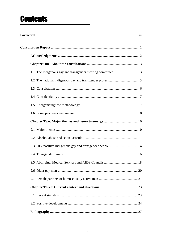# **Contents**

| 2.3 HIV positive Indigenous gay and transgender people  14 |  |  |
|------------------------------------------------------------|--|--|
|                                                            |  |  |
|                                                            |  |  |
|                                                            |  |  |
|                                                            |  |  |
|                                                            |  |  |
|                                                            |  |  |
|                                                            |  |  |
|                                                            |  |  |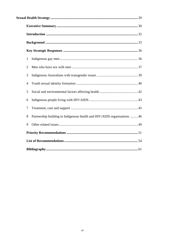| 1              |                                                                          |  |  |
|----------------|--------------------------------------------------------------------------|--|--|
| 2              |                                                                          |  |  |
| 3              |                                                                          |  |  |
| $\overline{4}$ |                                                                          |  |  |
| 5              |                                                                          |  |  |
| 6              |                                                                          |  |  |
| 7              |                                                                          |  |  |
| 8              | Partnership building in Indigenous health and HIV/AIDS organisations  46 |  |  |
| 9              |                                                                          |  |  |
|                |                                                                          |  |  |
|                |                                                                          |  |  |
|                |                                                                          |  |  |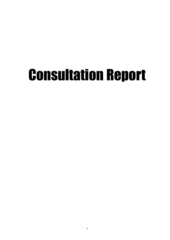# Consultation Report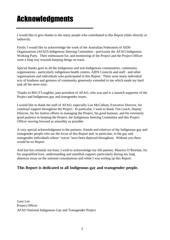# Acknowledgments

I would like to give thanks to the many people who contributed to this Report either directly or indirectly.

Firstly I would like to acknowledge the work of the Australian Federation of AIDS Organisations (AFAO) Indigenous Steering Committee - previously the AFAO Indigenous Working Party. Their enthusiasm for, and monitoring of the Project and the Project Officer went a long way towards keeping things on track.

Special thanks goes to all the Indigenous and non-Indigenous communities, community organisations - particularly indigenous health centres, AIDS Councils and staff - and other organisations and individuals who participated in this Report. There were many individual acts of kindness and gestures of community generosity extended to me which made my hard task all the more easy.

Thanks to Bill O'Loughlin, past president of AFAO, who was and is a staunch supporter of the Project and Indigenous gay and transgender issues.

I would like to thank the staff of AFAO, especially Lou McCallum, Executive Director, for continual support throughout the Project. In particular, I want to thank Tim Leach, Deputy Director, for his tireless efforts in managing the Project, his good humour, and his extremely good patience in keeping the Project, the Indigenous Steering Committee and this Project Officer moving forward as smoothly as possible.

A very special acknowledgment to the partners, friends and relatives of the Indigenous gay and transgender people who are the focus of this Report and, in particular, to the gay and transgender individuals whose 'voices' have been depicted throughout. Without you there would be no Report.

And last but certainly not least, I wish to acknowledge my life-partner, Maurice O'Riordan, for his unqualified love, understanding and unselfish support, particularly during my long absences away on the national consultations and while I was writing up this Report.

#### **This Report is dedicated to all Indigenous gay and transgender people.**

Gary Lee Project Officer AFAO National Indigenous Gay and Transgender Project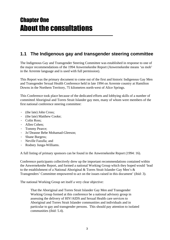### **1.1 The Indigenous gay and transgender steering committee**

The Indigenous Gay and Transgender Steering Committee was established in response to one of the major recommendations of the 1994 Anwernekenhe Report (Anwernekenhe means 'us mob' in the Arrernte language and is used with full permission).

This Report was the primary document to come out of the first and historic Indigenous Gay Men and Transgender Sexual Health Conference held in late 1994 on Arrernte country at Hamilton Downs in the Northern Territory, 75 kilometres north-west of Alice Springs.

This Conference took place because of the dedicated efforts and lobbying skills of a number of committed Aboriginal and Torres Strait Islander gay men, many of whom were members of the first national conference steering committee:

- · (the late) John Cross;
- · (the late) Matthew Cooke;
- · Colin Ross;
- · Allen Cohen;
- · Tommy Pearce;
- · Jo'Deanne Bebe Mohamad-Gleeson;
- · Shane Burgess;
- · Neville Fazulla; and
- · Rodney Junga-Williams.

A full listing of primary sponsors can be found in the Anwernekenhe Report (1994: 16).

Conference participants collectively drew up the important recommendations contained within the Anwernekenhe Report, and formed a national Working Group which they hoped would 'lead to the establishment of a National Aboriginal & Torres Strait Islander Gay Men's & Transgenders' Committee empowered to act on the issues raised in this document' (ibid: 3).

The national Working Group set itself a very clear objective:

That the Aboriginal and Torres Strait Islander Gay Men and Transgender Working Group formed at this conference be a national advisory group in assessing the delivery of HIV/AIDS and Sexual Health care services to Aboriginal and Torres Strait Islander communities and individuals and in particular to gay and transgender persons. This should pay attention to isolated communities (ibid: 5.4).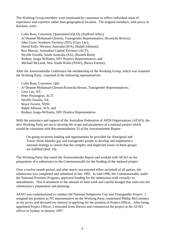The Working Group members were nominated by consensus to reflect individual areas of experience and expertise rather than geographical location. The original members, with proxy in brackets, were:

- · Colin Ross, Convenor, Queensland (QLD), (Stafford Alley);
- · Jo'Deanne Mohamad-Gleeson, Transgender Representative, (Kooncha Brown);
- · John Cross, Northern Territory (NT), (Gary Lee);
- · David Kelly, Western Australia (WA), (Ralph Johnson);
- · Rex Murray, Australian Capital Territory (ACT);
- · Neville Fazulla, South Australia (SA), (Russell Reid);
- · Rodney Junga-Williams, HIV Positive Representative; and
- · Michael McLeod, New South Wales (NSW), (Bruce Forrest).

After the Anwernekenhe Conference the membership of the Working Group, which was renamed the Working Party, consisted of the following representatives:

- · Colin Ross, Convenor, Qld;
- · Jo'Deanne Mohamad-Gleeson/Kooncha Brown, Transgender Representatives;
- · Gary Lee, NT;
- · Peter Pinnington, ACT;
- · Neville Fazulla, SA;
- · Bruce Forrest, NSW;
- · Ralph Johnson, WA; and
- · Rodney Junga-Williams, HIV Positive Representative.

With the assistance and support of the Australian Federation of AIDS Organisations (AFAO), the new Working Party set out to develop the scope and parameters of a national project which would be consistent with Recommendation 33 of the Anwernekenhe Report:

On-going recurrent funding and opportunities be provided for Aboriginal and Torres Strait Islander gay and transgender people to develop and implement a national strategy to ensure that the complex and neglected issues of these groups are fulfilled (ibid: 10).

The Working Party fine tuned the Anwernekenhe Report and worked with AFAO on the preparation of a submission to the Commonwealth for the funding of the national project.

Over a twelve month period, and after much concentrated effort on behalf of all parties, the submission was completed and submitted in late 1995. In mid-1996, the Commonwealth, under the National Priorities Program, approved funding for the submission with virtually no amendments. This is testament to the amount of hard work and careful thought that went into the submission's preparation and planning.

AFAO was commissioned to conduct the National Indigenous Gay and Transgender Project. I resigned my position as NT representative on the Working Party, nominated Phillip McGuinness as my proxy and declared my interest in applying for the position of Project Officer. After being appointed Project Officer, I relocated from Darwin and commenced the project at the AFAO offices in Sydney in January 1997.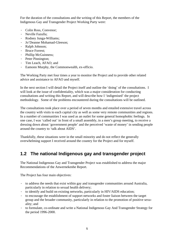For the duration of the consultations and the writing of this Report, the members of the Indigenous Gay and Transgender Project Working Party were:

- · Colin Ross, Convenor;
- · Neville Fazulla;
- · Rodney Junga-Williams;
- · Jo'Deanne Mohamad-Gleeson;
- · Ralph Johnson;
- · Bruce Forrest;
- · Phillip McGuinness;
- · Peter Pinnington;
- · Tim Leach, AFAO; and
- · Eamonn Murphy, the Commonwealth, ex-officio.

The Working Party met four times a year to monitor the Project and to provide other related advice and assistance to AFAO and myself.

In the next section I will detail the Project itself and outline the 'doing' of the consultations. I will look at the issue of confidentiality, which was a major consideration for conducting consultations and writing this Report, and will describe how I 'indigenised' the project methodology. Some of the problems encountered during the consultations will be outlined.

The consultations took place over a period of seven months and entailed extensive travel across the country with visits to each capital city as well as some very remote communities and regions. In a number of communities I was used as an outlet for some general homophobic feelings. In one case, I was 'called out' in front of a small assembly, in a men's group meeting, to receive a dressing down about 'government people' and the perceived 'waste of money' in sending people around the country to 'talk about AIDS'.

Thankfully, these situations were in the small minority and do not reflect the generally overwhelming support I received around the country for the Project and for myself.

### **1.2 The national Indigenous gay and transgender project**

The National Indigenous Gay and Transgender Project was established to address the major Recommendations of the Anwernekenhe Report.

The Project has four main objectives:

- · to address the needs that exist within gay and transgender communities around Australia, particularly in relation to sexual health delivery;
- to identify and build on existing networks, particularly in HIV/AIDS education;
- · to encourage the establishment of support networks and foster liaison between the target group and the broader community, particularly in relation to the promotion of positive sexuality; and
- · to formulate, co-ordinate and write a National Indigenous Gay And Transgender Strategy for the period 1996-2000.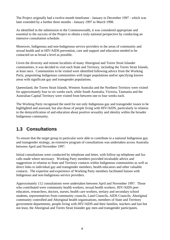The Project originally had a twelve-month timeframe - January to December 1997 - which was later extended by a further three months - January 1997 to March 1998.

As identified in the submission to the Commonwealth, it was considered appropriate and essential to the success of the Project to obtain a truly national perspective by conducting an intensive consultation schedule.

Moreover, Indigenous and non-Indigenous service providers in the areas of community and sexual health and in HIV/AIDS prevention, care and support and education needed to be contacted on as broad a level as possible.

Given the diversity and remote localities of many Aboriginal and Torres Strait Islander communities, it was decided to visit each State and Territory, including the Torres Strait Islands, at least once. Communities to be visited were identified following advice from the Working Party, pinpointing Indigenous communities with larger populations and/or specifying known areas with significant gay and transgender populations.

Queensland, the Torres Strait Islands, Western Australia and the Northern Territory were visited for approximately four to six weeks each, while South Australia, Victoria, Tasmania and the Australian Capital Territory were visited from between one to four weeks each.

The Working Party recognised the need for not only Indigenous gay and transgender issues to be highlighted and assessed, but also those of people living with HIV/AIDS, particularly in relation to the demystification of and education about positive sexuality and identity within the broader Indigenous community.

### **1.3 Consultations**

To ensure that the target group in particular were able to contribute to a national Indigenous gay and transgender strategy, an extensive program of consultations was undertaken across Australia between April and November 1997.

Initial consultations were conducted by telephone and letter, with follow-up telephone and fax calls made where necessary. Working Party members provided invaluable advice and suggestions in relation to State and Territory contacts within Indigenous communities as well as direct links to individual gay and transgender members, health educators and other valuable contacts. The expertise and experience of Working Party members facilitated liaison with Indigenous and non-Indigenous service providers.

Approximately 112 consultations were undertaken between April and November 1997. Those who contributed were community health workers, sexual health workers, HIV/AIDS peer educators, researchers, doctors, nurses, health care workers, tertiary and secondary school students, representatives from community councils, Land Councils, AIDS Councils, Aboriginal community controlled and Aboriginal health organisations, members of State and Territory government departments, people living with HIV/AIDS and their families, teachers and last but not least, the Aboriginal and Torres Strait Islander gay men and transgender participants.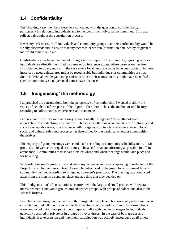### **1.4 Confidentiality**

The Working Party members were very concerned with the question of confidentiality, particularly in relation to individuals and to the identity of individual communities. This was reflected throughout the consultation process.

It was my task to assure all individuals and community groups that their confidentiality would be strictly observed; and to ensure that any recorded or written information obtained by or given to me would remain with me.

Confidentiality has been maintained throughout this Report. No community, region, groups or individuals are directly identified by name or by inference except where permission has been first obtained to do so, such as in the case where local language terms have been quoted. In these instances a geographical area might be recognisable but individuals or communities are not. Some individual people gave me permission to use their names but this might have identified a specific community so no personal names have been used.

### **1.5 'Indigenising' the methodolgy**

I approached the consultations from the perspective of co-authorship: I wanted to allow the voices of people to inform parts of the Report. Therefore, I chose the method of oral history recording to collect stories, experiences and statements.

Patience and flexibility were necessary to successfully 'Indigenise' the methodological approaches for conducting consultations. That is, consultations were conducted in culturally and socially acceptable ways, in accordance with Indigenous protocols, and in deference to local, social and cultural rules and processes, as determined by the participants and/or communities themselves.

The majority of group meetings were conducted according to community schedules and cultural protocols and were encouraged at all times to be as informal and affirming as possible for all in attendance. Communities themselves dictated where and when meetings would take place and for how long.

With solely women's groups, I would adapt my language and way of speaking in order to put the Project into an Indigenous context. I would be introduced to the group by a prominent female community member according to Indigenous women's protocols. The meeting was conducted away from the men, in a separate place and at a time that they decided on.

This 'Indigenisation' of consultations occurred with the large and small groups, with separate men's, women's and youth groups, mixed gender groups, with groups of elders, and also in the 'closed' forums.

In all but a few cases, gay men and youth, transgender people and homosexually active men were consulted individually and/or in face to face meetings. While wider community consultations were conducted out in the open in public spaces, talks with gay and transgender individuals generally occurred in private or in groups of two or threes. In the case of both groups and individuals, free expression and maximum participation was actively encouraged at all times.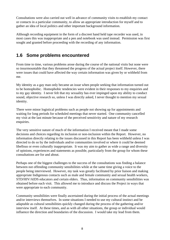Consultations were also carried out well in advance of community visits to establish my contact or contacts in a particular community, to allow an appropriate introduction for myself and to gather an idea of local politics and other important background information.

Although recording equipment in the form of a discreet hand held tape recorder was used, in most cases this was inappropriate and a pen and notebook was used instead. Permission was first sought and granted before proceeding with the recording of any information.

### **1.6 Some problems encountered**

From time to time, various problems arose during the course of the national visits but none were so insurmountable that they threatened the progress of the actual project itself. However, there were issues that could have affected the way certain information was given by or withheld from me.

My identity as a gay man only became an issue when people seeking that information turned out to be homophobic. Homophobic tendencies were evident in their responses to my enquiries and to my gay identity. I never felt that my sexuality has ever impinged upon my ability to conduct sound, objective research so, unless I was directly asked, I never thought to mention my sexual identity.

There were minor logistical problems such as people not showing up for appointments and waiting for long periods for scheduled meetings that never started. One community cancelled my visit at the last minute because of the perceived sensitivity and nature of my research enquiries.

The very sensitive nature of much of the information I received meant that I made some decisions and choices regarding its inclusion or non-inclusion within the Report. However, no information directly relating to the issues discussed in this Report has been withheld unless I was directed to do so by the individuals and/or communities involved or where it could be deemed libellous or even culturally inappropriate. It was my aim to gather as wide a range and diversity of opinions, experiences and statements as possible, particularly from the group for whom these consultations are for and about.

Perhaps one of the biggest challenges to the success of the consultations was finding a balance between not offending community sensibilities while at the same time giving a voice to the people being interviewed. However, my task was greatly facilitated by prior liaison and making appropriate Indigenous contacts such as male and female community and sexual health workers, STD/HIV/AIDS educators and certain elders. Thus, information on community sensibilities was obtained before each visit. This allowed me to introduce and discuss the Project in ways that were appropriate to each community.

Community sensibilities were finally ascertained during the initial process of the actual meetings and/or interviews themselves. In some situations I needed to use my cultural instinct and be adaptable as cultural sensibilities quickly changed during the process of the gathering and/or interview itself. At these times, and as with all other situations, the group or individual would influence the direction and boundaries of the discussion. I would take my lead from them.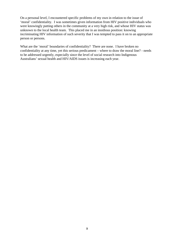On a personal level, I encountered specific problems of my own in relation to the issue of 'moral' confidentiality. I was sometimes given information from HIV positive individuals who were knowingly putting others in the community at a very high risk, and whose HIV status was unknown to the local health team. This placed me in an insidious position: knowing incriminating HIV information of such severity that I was tempted to pass it on to an appropriate person or persons.

What are the 'moral' boundaries of confidentiality? There are none. I have broken no confidentiality at any time, yet this serious predicament – where to draw the moral line? - needs to be addressed urgently, especially since the level of social research into Indigenous Australians' sexual health and HIV/AIDS issues is increasing each year.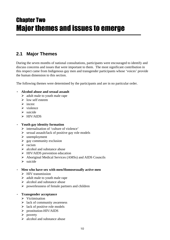## Chapter Two Major themes and issues to emerge

#### **2.1 Major Themes**

During the seven months of national consultations, participants were encouraged to identify and discuss concerns and issues that were important to them. The most significant contribution in this respect came from Indigenous gay men and transgender participants whose 'voices' provide the human dimension to this section.

The following themes were determined by the participants and are in no particular order.

#### · **Alcohol abuse and sexual assault**

- $\triangleright$  adult male to youth male rape
- $\triangleright$  low self esteem
- $\triangleright$  incest
- $\triangleright$  violence
- $\triangleright$  suicide
- $\triangleright$  HIV/AIDS

#### · **Youth gay identity formation**

- $\triangleright$  internalisation of 'culture of violence'
- $\triangleright$  sexual assault/lack of positive gay role models
- $\blacktriangleright$  unemployment
- $\triangleright$  gay community exclusion
- $\triangleright$  racism
- $\triangleright$  alcohol and substance abuse
- $\triangleright$  HIV/AIDS prevention education
- Ø Aboriginal Medical Services (AMSs) and AIDS Councils
- $\blacktriangleright$  suicide

#### · **Men who have sex with men/Homosexually active men**

- $\triangleright$  HIV transmission
- $\triangleright$  adult male to youth male rape
- $\triangleright$  alcohol and substance abuse
- $\triangleright$  powerlessness of female partners and children
- · **Transgender acceptance**
	- $\triangleright$  Victimisation
	- $\triangleright$  lack of community awareness
	- $\triangleright$  lack of positive role models
	- Ø prostitution-HIV/AIDS
	- $\triangleright$  poverty
	- $\triangleright$  alcohol and substance abuse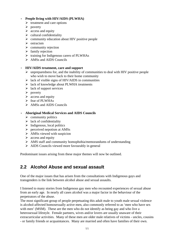#### · **People living with HIV/AIDS (PLWHA)**

- $\triangleright$  treatment and care options
- $\blacktriangleright$  poverty
- $\triangleright$  access and equity
- $\triangleright$  cultural confidentiality
- $\triangleright$  community education about HIV positive people
- $\triangleright$  ostracism
- $\triangleright$  community rejection
- $\triangleright$  family rejection
- $\triangleright$  training for Indigenous carers of PLWHAs
- $\triangleright$  AMSs and AIDS Councils

#### · **HIV/AIDS treatment, care and support**

- $\triangleright$  unpreparedness for, and the inability of communities to deal with HIV positive people who wish to move back to their home community
- $\triangleright$  lack of visible signs of HIV/AIDS in communities
- $\triangleright$  lack of knowledge about PLWHA treatments
- $\triangleright$  lack of support services
- $\triangleright$  poverty
- $\triangleright$  access and equity
- $\triangleright$  fear of PLWHAs
- $\triangleright$  AMSs and AIDS Councils

#### · **Aboriginal Medical Services and AIDS Councils**

- $\triangleright$  community politics
- $\triangleright$  lack of confidentiality
- $\triangleright$  Indigenous, local politics
- $\triangleright$  perceived nepotism at AMSs
- $\triangleright$  AMSs viewed with suspicion
- $\triangleright$  access and equity
- $\triangleright$  AMS staff and community homophobia/memorandums of understanding
- $\triangleright$  AIDS Councils viewed more favourably in general

Predominant issues arising from these major themes will now be outlined.

#### **2.2 Alcohol Abuse and sexual assault**

One of the major issues that has arisen from the consultations with Indigenous gays and transgenders is the link between alcohol abuse and sexual assaults.

I listened to many stories from Indigenous gay men who recounted experiences of sexual abuse from an early age. In nearly all cases alcohol was a major factor in the behaviour of the perpetrators of the abuse.

The most significant group of people perpetuating this adult male to youth male sexual violence is alcohol-affected homosexually active men, also commonly referred to as 'men who have sex with men' (MSM). These are the men who do not identify as being gay and who live a heterosexual lifestyle. Female partners, wives and/or lovers are usually unaware of their extracurricular activities. Many of these men are older male relatives of victims - uncles, cousins - or family friends or acquaintances. Many are married and often have families of their own.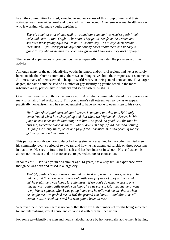In all the communities I visited, knowledge and awareness of this group of men and their activities was more widespread and tolerated than I expected. One female sexual health worker who is working with male youths explained:

*There's a hell of a lot of men walkin' 'round our communities who're gettin' their cake and eatin' it too. Ought to be shot! They gettin' sex from the women and sex from those young boys too - takin' it I should say. It's always been around... these men... I feel sorry for the boys but nobody cares about them and nobody's game to say who those men are, even though we all know who (they are) anyways.*

The personal experiences of younger gay males repeatedly illustrated the prevalence of this activity.

Although many of the gay-identifying youths in remote and/or rural regions had never or rarely been outside their home community, there was nothing naive about their responses or statements. At times, many of them seemed to be quite world-weary in their general demeanour. To a larger degree, the same could be said of a number of gay-identifying youths based in the more urbanised areas, particularly in southern and south eastern Australia.

One thirteen year old youth from a remote north Australian community related his experience to me with an air of sad resignation. This young man's self esteem was so low as to appear practically non-existent and he seemed grateful to have someone to even listen to his story:

*He [older Aboriginal married man] always is no good one that one. [He] only come 'round when he's charged up and that when we frightened... Always he bin jump us and make me do that thing with him... no good, no good. All the time he hurt me, sometime blood be there... what I do? I'm only [a] kid, can't do nothing. He jump me plenty times, other one [boys] too. Drunken mens no good. If we try get away, no good, he bash us.*

This particular youth went on to describe being similarly assaulted by two other married men in his community over a period of two years, and how he has attempted suicide on three occasions in that time. He sees no future for himself and has lost interest in school. His self-esteem is almost non-existent and he has no access to peer educators or counsellors.

In south east Australia a youth of a similar age, 14 years, has a very similar experience even though he was born and raised in a large city:

*That [X] yeah he's my cousin - married an' he does [sexually abuses] us boys...he did me, first time now, when I was only little one [8 years of age] an' he drunk an' he grabs me... you know, it really hurts. If we don't do what he says... one time he was really really drunk, you know, he was scary... [He] caught me, I went to my friend's place, after I was going home and he followed me an' that's when he caught me. He pushed me on [to] the ground you know... I had blood 'n' all comin' out... I cried an' cried but who gonna listen to me?*

Wherever their location, there is no doubt that there are high numbers of youths being subjected to, and internalising sexual abuse and equating it with 'normal' behaviour*.*

For some gay-identifying men and youths, alcohol abuse by homosexually active men is having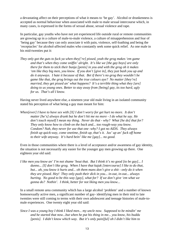a devastating affect on their perceptions of what it means to 'be gay'. Alcohol or drunkenness is accepted as normal behaviour when associated with male to male sexual intercourse which, in many cases, is expressed in the forms of sexual abuse, sexual violence and rape.

In particular, gay youths who have not yet experienced life outside rural or remote communities are growing up in a culture of male-to-male violence, a culture of misapprehension and fear of 'being gay' because they can only associate it with pain, violence, self-loathing and being the 'receptacles' for alcohol-affected males who constantly seek some quick relief. As one male in his mid-twenties put it:

*They only got the guts to fuck ya when they['re] pissed, yeah the grog makes 'em game and that's when they come sniffin' alright. It's like we [the gay boys] are only there for them to stick their bunja [penis] in you and with the grog oh it makes 'em like they big men, you know. If you don't [give in], they just bash you up and do it anyways. I hate it because of that. Bet if there's no grog they wouldn't be game like that, the grog brings out the true colours aye? No matter [they're] married, they get pissed an' what happens? It's a terrible thing what they [are] doing to us young ones. Better to stay away from [being] gay, its too hard, ugly for us. That's all I know.*

Having never lived anywhere else, a nineteen year old male living in an isolated community stated his perception of what being a gay man meant for him:

*When[ever] I have to have sex with [X] I don't worry for get hurt no more. It don't matter [he's] always drunk but he don't hit me no more - I do what he say. He don't touch myself I mean my thing. Never do that - why? What [he do] that for? They only know how to climb on the back and... too rough-way you know. Condom? Nah, they never for use that one -why? I got no AIDS. They always finish up quick-way, come onetime, finish up, that's it. Jus' up an' fuck off home to their wife anyway. It's hard bein' like me [gay]... no good.*

Even in those communities where there is a level of acceptance and/or awareness of gay identity, the situation is not necessarily any easier for the younger gay men growing up there. One eighteen year old said:

*I like men you know an' I'm not shame 'bout that. But I think it's no good [to be gay]... I dunno... [I] don't like grog. When I have that kajak [intercourse] I like to do that, but... ah, you know it hurts and... oh them mans don't give a shit - only do it when they are pissed. Hey! They only push their dick in you... in-out, in-out... always hurting. No good to be this way [gay], what for? If we don't give 'em what we gonna do? Nothin'. I think, better for not liking men you know...*

In a small remote area community which has a large alcohol 'problem' and a number of known homosexually active men, a significant number of gay- identifying men in their mid to late twenties were still coming to terms with their own adolescent and teenage histories of male-tomale experiences. One twenty eight year old said:

*Since I was a young boy I think I liked men... my uncle now. Supposed to be mindin' me and he started that now...but when he put his thing in me... you know, his buddu [penis]. I didn't know which way. But it's only pain[ful] oh I didn't like him to*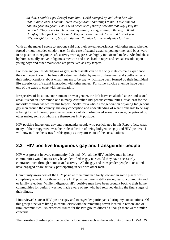*do that, I couldn't get [away] from him. He[s] charged up an' when he's like that, I know what's comin'. He's always doin' bad things to me. I like him but... nah, no good no good. I do it with other ones [males] now but that way [sex] it's no good. They never touch me, not my thing [penis], nothing. Kissing? Wah! [laughs] What for kiss? No kiss! They only want to get drunk and to root you, [it's] alright for them, but, ah I dunno. Not nice for me - only nice for them.*

With all the males I spoke to, not one said that their sexual experiences with other men, whether forced or not, included condom use. In the case of sexual assaults, younger men and boys were in no position to negotiate safe activity with aggressive, highly intoxicated males. Alcohol abuse by homosexually active Indigenous men can and does lead to rapes and sexual assaults upon young boys and other males who are perceived as easy targets.

For men and youths identifying as gay, such assaults can be the only male-to-male experience they will ever know. The low self esteem exhibited by many of these men and youths reflects their misconceptions about what it means to be gay; which have been formed by their individual life experiences of sexual interaction with other males. For some, suicide attempts have been one of the ways to cope with the situation.

Irrespective of location, environment or even gender, the link between alcohol abuse and sexual assault is not an uncommon one in many Australian Indigenous communities, or at least for the majority of those visited for this Report. Sadly, for a whole new generation of young Indigenous gay men around the country, the only conception and understanding of what it 'means' to be gay is being formed through personal experience of alcohol-induced sexual violence, perpetrated by other males, some of whom are themselves HIV positive.

HIV positive Indigenous gay and transgender people who participated in this Report face, what many of them suggested, was the triple affliction of being Indigenous, gay and HIV positive. I will now outline the issues for this group as they arose out of the consultations.

#### **2.3 HIV positive Indigenous gay and transgender people**

HIV was present in every community I visited. Not all the HIV positive men in these communities would necessarily have identified as gay nor would they have necessarily contracted HIV through homosexual activity. All the gay and transgender people I consulted have engaged or are actively participating in sex with other men.

Community awareness of the HIV positive men remained fairly low and in some places was completely absent. For those who are HIV positive there is still a strong fear of community and or family rejection. While Indigenous HIV positive men have been brought back to their home communities for burial, I was not made aware of any who had returned during the final stages of their illness.

I interviewed sixteen HIV positive gay and transgender participants during my consultations. Of this group nine were living in capital cities with the remaining seven located in remote and or rural communities. As expected, issues for the two groups differed although there were similar concerns.

The priorities of urban positive people include issues such as the availability of new HIV/AIDS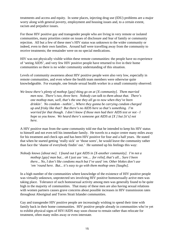treatments and access and equity. In some places, injecting drug use (IDU) problems are a major worry along with general poverty, employment and housing issues and, to a certain extent, racism and prejudice issues.

For those HIV positive gay and transgender people who are living in very remote or isolated communities, many priorities centre on issues of disclosure and fear of family or community rejection. All but a few of these men's HIV status was unknown to the wider community or indeed, even to their own families. Around half were travelling away from the community to receive treatments; the remainder were on no special medications.

HIV was not physically visible within these remote communities: the people have no experience of 'seeing AIDS', and very few HIV positive people have returned to live in their home communities so there is no wider community understanding of this situation.

Levels of community awareness about HIV positive people were also very low, especially in remote communities, and even where the health team members were otherwise quite knowledgeable. For example, one female sexual health worker in a small community observed:

*We know there's plenty of mothop [gay] thing go on at [X community]. Them married men now. There's two, three here. Nobody can talk to them about that. There's one mothop man, well, that's the one they all go to now when they've been drinkin'. No condom - nothin'... Where they gonna be carrying condom charged up and frisky like that? But there's no AIDS here so that's something. I'm worried for that though. I don't know if those men had their AIDS test or not - I hope so you know. We heard there's someone got AIDS at [X ] but [it's] not here.*

A HIV positive man from the same community told me that he intended to keep his HIV status to himself and not even tell his immediate family. He travels to a major centre many miles away for his treatment and check ups and has been HIV positive for four and a half years. He stated that when he started getting 'really sick' or 'those sores', he would leave the community rather than face the 'shame of everybody findin' out.' He summed up his feelings this way:

*Nobody knows [about me]. I found out I got AIDS in [X-another community]. I'm not a mothop [gay] man but... oh I just use 'em.... for relief, that's all... Sure I been there... No, I don't like condoms much but I've used 'em. Other blokes don't use 'em 'round here. But... it's easy to go with them mothop ones [laughs].*

In a high number of the communities where knowledge of the existence of HIV positive people was virtually unknown, unprotected sex involving HIV positive homosexually active men was taking place. Tolerance of such homosexual activity among men was generally found to be quite high in the majority of communities. That many of these men are also having sexual relations with women partners causes grave concerns about possible increases in HIV transmission rates throughout Aboriginal and Torres Strait Islander communities.

Gay and transgender HIV positive people are increasingly wishing to spend their time with family back in their home communities. HIV positive people already in communities who're yet to exhibit physical signs of HIV/AIDS may soon choose to remain rather than relocate for treatment, often many miles away or even interstate.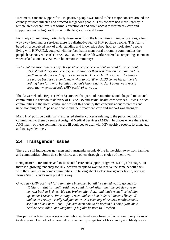Treatment, care and support for HIV positive people was found to be a major concern around the country for both infected and affected Indigenous people. This concern had more urgency in remote areas where levels of formal education of and about access to treatments, care and support are not as high as they are in the larger cities and towns.

For many communities, particularly those away from the large cities in remote locations, a long way away from major services, there is a distinctive fear of HIV positive people. This fear is based on a perceived lack of understanding and knowledge about how to 'look after' people living with HIV/AIDS, coupled with the fact that in many rural or remote communities the people have not yet 'seen' HIV/AIDS. One sexual health worker offered a compelling statement when asked about HIV/AIDS in his remote community:

*We're not too sure if there's any HIV positive people here yet but we wouldn't rule it out. It's just that if they are here they must have got their test done on the mainland.. I don't know what we'll do if anyone comes back here [HIV] positive. The people are scared because we don't know what to do. When AIDS comes here... there's nothing here for them. Families wouldn't know what to do. I guess we'll worry about that when somebody [HIV positive] turns up.*

The Anwernekenhe Report (1994: 5) stressed that particular attention should be paid to isolated communities in relation to delivery of HIV/AIDS and sexual health care services. It was in such communities in the north, centre and west of this country that concerns about awareness and understanding of HIV positive people and their treatment, care and support was strongest.

Many HIV positive participants expressed similar concerns relating to the perceived lack of commitment to them by some Aboriginal Medical Services (AMSs). In places where there is no AMS many of these communities are ill equipped to deal with HIV positive people, let alone gay and transgender ones.

#### **2.4 Transgender issues**

There are still Indigenous gay men and transgender people dying in the cities away from families and communities. Some do so by choice and others through no choice of their own.

Being nearer to treatments and to substantial care and support programs is a big advantage, but there is a growing tendency for HIV positive people to want to receive the same benefit back with their families in home communities. In talking about a close transgender friend, one gay Torres Strait Islander man put it this way:

*G was sick [HIV positive] for a long time in Sydney but all he wanted was to go back to [X island]. But his family said they couldn't look after him if he got sick and so he went back to Sydney. He was broken after that... and that's what finished him up sooner I reckon. Poor thing. I went and saw him in Saint Vincents [hospital] and he was really... really sad you know. Not even any of his own family came to see him or visit here. True! If he had been able to be back in his home, you know, he'd be here talkin' and laughin' up big like he used to, I reckon.*

This particular friend was a sex worker who had lived away from his home community for over twelve years. He had not returned due to his family's rejection of his identity and lifestyle as a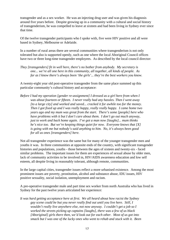transgender and as a sex worker. He was an injecting drug user and was given his diagnosis around five years before. Despite growing up in a community with a cultural and social history of transgenderism, he was compelled to leave at sixteen and had been living in Sydney ever since that time.

Of the twelve transgender participants who I spoke with, five were HIV positive and all were based in Sydney, Melbourne or Adelaide.

In a number of rural areas there are several communities where transgenderism is not only tolerated but also is supported openly, such as one where the local Aboriginal Council offices have two or three long-time transgender employees. As described by the local council director:

*They [transgenders] fit in well here, there's no bother from anybody. My secretary is one... we're all one here in this community, all together, all kinds of people. As far as I know there's always been 'the girls'... they're the best workers you know.*

A twenty-eight year old post-operative transgender from the same place summed up this particular community's cultural history and acceptance:

*Before I had my operation [gender re-assignment] I dressed as a girl here from when I was about fourteen or fifteen. I never really had any hassles. Then I went away [to a large city] and worked and saved... cracked it for awhile too for the money. Then I got fixed up and I was really happy, really really happy. I came home two years ago and my mum was great from the start. There's some [people] here who have problems with it but I don't care about them. I don't go out much anyway, just to work and back home again. I've got a man now [laughs]... mum thinks he's nice too. But we're keeping things quiet for now. Everyone knows that [X] is going with me but nobody's said anything to him. No, it's always been good for all us ones [transgenders] here.*

Not all transgender experience was the same but for many of the younger transgender men and youths it was. In three communities at opposite ends of the country, with significant transgender histories and populations, youths - those between the ages of sixteen and twenty-six - faced similar problems. The important issues for them are experiences of sexual abuse by older men, lack of community activities to be involved in, HIV/AIDS awareness education and low self esteem, all despite living in reasonably tolerant, although remote, communities.

In the large capital cities, transgender issues reflect a more urbanised existence. Among the most prominent issues are poverty, prostitution, alcohol and substance abuse, IDU issues, HIV positive sexuality, social isolation, unemployment and racism.

A pre-operative transgender male and part time sex worker from north Australia who has lived in Sydney for the past twelve years articulated her experience:

*It was hard getting acceptance here at first. We all heard about how racist the Sydney gay scene could be but you never really find out until you live here. Still, I wouldn't really live anywhere else, not now anyway. I couldn't get a job so I worked the streets picking up captains [laughs], there was a few of us black [Aboriginal] girls there then, we'd look out for each other. Most of us got into smack but I was one of the lucky ones who went to rehab and stuck with it. Been*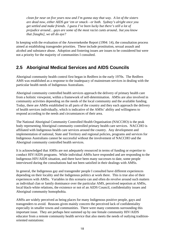*clean for near on five years now and I'm gonna stay that way. A lot of the sisters are dead now, either AIDS got 'em or smack - or both. Sydney's alright once you get settled and make friends. I guess I've been lucky but there's still a lot of prejudice around... gays are some of the most racist cunts around.. but you know that [laughs], we all do aye?*

In keeping with the evaluation of the Anwernekenhe Report (1994: 14), the consultation process aimed at establishing transgender priorities. These include prostitution, sexual assault and alcohol and substance abuse. Adoption and fostering issues are issues to be considered but were not a priority for the majority of communities I consulted.

### **2.5 Aboriginal Medical Services and AIDS Councils**

Aboriginal community health control first began in Redfern in the early 1970s. The Redfern AMS was established as a response to the inadequacy of mainstream services in dealing with the particular health needs of Indigenous Australians.

Aboriginal community controlled health services approach the delivery of primary health care from a holistic viewpoint, within a framework of self-determination. AMSs are also involved in community activities depending on the needs of the local community and the available funding. Today, there are AMSs established in all parts of the country and they each approach the delivery of health services individually, which is indicative of the AMSs' ability and willingness to respond according to the needs and circumstances of their area.

The National Aboriginal Community Controlled Health Organisation (NACCHO) is the peak body representing Aboriginal community controlled primary health care services. NACCHO is affiliated with Indigenous health care services around the country. Any development and implementation of national, State and Territory and regional policies, programs and services for Indigenous Australians cannot be successful without the involvement of NACCHO and the Aboriginal community controlled health services.

It is acknowledged that AMSs are not adequately resourced in terms of funding or expertise to conduct HIV/AIDS programs. While individual AMSs have responded and are responding to the Indigenous HIV/AIDS situation, and there have been many successes to date, some people interviewed during the consultations had not been satisfied in their dealings with AMSs.

In general, the Indigenous gay and transgender people I consulted have different experiences depending on their locality and the Indigenous politics at work there. This is true also of their experiences with AMSs. Variables in this scenario can and often do revolve around such matters as individual clan or family dominance over the particular AMS, perceived nepotism at AMSs, local black-white relations, the existence or not of an AIDS Council, confidentiality issues and Aboriginal community homophobia.

AMSs are widely perceived as being places for many Indigenous positive people, gays and transgenders to avoid. Reasons given mainly concern the perceived lack of confidentiality especially in smaller towns and communities. There were many comments surrounding this important issue. They are perhaps best summed up by one female community HIV/AIDS educator from a remote community health service that also meets the needs of outlying traditionoriented outstations: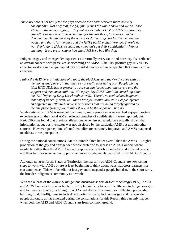*The AMS here is not really for the gays because the health workers there are very homophobic. Not only that, the [X] family runs the whole show and we can't see where all the money's going. They not worried about HIV or AIDS because they haven't done any programs or nothing for the last three, four years. We're [Community Health Service] the only ones doing programs for the men and the women and that's for the gays and the [HIV] positive ones here too. There's no way they'd go to [AMS] because they wouldn't get their confidentiality kept or anything. It's a cryin' shame how that AMS is so bad like that.*

Indigenous gay and transgender experiences in virtually every State and Territory also reflected an overall concern with perceived shortcomings of AMSs. One HIV positive gay HIV/AIDS educator working in a major capital city provided another urban perspective that shows similar concerns:

*I think the AMS here is indicative of a lot of the big AMSs, and they're the ones with all the money and power, in that they're not really addressing our [People Living With HIV/AIDS] issues properly. And you can forget about the carers and the support and treatment stuff too. It's a pity they [AMS] don't do something about the IDU [Injecting Drug User] mob as well... There's no real acknowledgment that any of us really exist, well that's how you should look at it. People infected and affected by HIV/AIDS have special needs that are being largely ignored by the one place [where] you'd think it would be the opposite... but, no.*

While criticisms of AMSs were not uncommon, some people interviewed had enjoyed positive experiences with their local AMS. Alleged breaches of confidentiality were reported, but NACCHO has found that previous allegations, when investigated, have actually shown that information about positive status was not disclosed by the particular AMS but through other sources. However, perceptions of confidentiality are extremely important and AMSs may need to address these perceptions.

During the national consultations, AIDS Councils fared better overall than the AMSs. A higher proportion of the gay and transgender people preferred to access an AIDS Council, where available, rather than the AMS. Care and support issues for both infected and affected people and their families were generally perceived as more adequately provided for by AIDS Councils.

Although not true for all States or Territories, the majority of AIDS Councils are now taking steps to work with AMSs or are at least beginning to think about ways that cross-partnerships can commence. This will benefit not just gay and transgender people but also, in the short term, the broader Indigenous community as a whole.

With the release of the *National Indigenous Australians' Sexual Health Strategy* (1997), AMSs and AIDS Councils have a particular role to play in the delivery of health care to Indigenous gay and transgender people, including PLWHAs and affected communities. Effective partnership building (ibid: 47-48), must include direct participation by Indigenous gay and transgender people although, as has emerged during the consultations for this Report, this can only happen when both the AMS and AIDS Council start from common ground.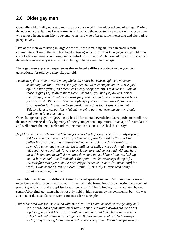#### **2.6 Older gay men**

Generally, older Indigenous gay men are not considered in the wider scheme of things. During the national consultations I was fortunate to have had the opportunity to speak with eleven men who ranged in age from fifty to seventy years, and who offered some interesting and alternative perspectives.

Five of the men were living in large cities while the remaining six lived in small remote communities. Two of the men had lived as transgenders from their teenage years up until their early forties and now were living quite comfortably as men. All but one of these men described themselves as sexually active with two being in long-term relationships.

These gay men expressed experiences that reflected a different outlook to the younger generations. As told by a sixty-six year old:

*I came to Sydney when I was a young bloke oh, I must have been eighteen, nineteen something like that. We weren't gay then, we were camp you know. It was just after the War [WW2] and there was plenty of opportunities to have sex... lots of those Negro [sic] soldiers there were... about all you had [to] do was look at their bulge [crotch] and they'd near jump you then and there. It was good times for sure, no AIDS then... There were plenty of places around the city to meet men if you wanted to. We had to be so careful them days too. I was working at Telecom later... nobody knew [about me being gay], not even my family. I only told them a long time later.*

Older Indigenous gay men growing up in a different era, nevertheless faced problems similar to the ones experienced today by many of their younger contemporaries. In an age of assimilation and well before the 1967 Referendum, one man in his late sixties had this to say:

*At [X] mission my uncle used to take me for walks to chop wood when I was only a young lad [seven years of age]. One day when we stopped for a bit by the creek he pulled his prick out of his trousers and made me suck it. I didn't want to... it seemed strange, but then he started to pull me of while I was suckin' him and that felt good. One day I didn't want to do it anymore and he got wild with me, he'd been drinking and he pulled my pants down and before I knew it he was fucking me. It hurt so bad - I still remember that pain. You know he kept doing it for three or four more years and it only stopped when he went to [X community] for work. I was about oh, ten or eleven I think. That's why I never liked doing it [anal intercourse] later on.*

Four older men from four different States discussed spiritual issues. Each described a sexual experience with an older man that was influential in the formation of a connection between their present gay identity and the spiritual experience itself. The following was articulated by one senior Aboriginal gay man who is not only held in high esteem by his community but who was also one of the custodians of Men's Business for his people:

*This bloke who was foolin' around with me when I was a kid, he used to always only do it to me at the back of the mission at this one spot. He would always put me on his lap facing his chest like... I'd straddle him and he would take his penis and mine in his hand and masturbate us together. But do you know what? He'd always sort of sing this song facing this one direction every time. We did this for nearly a*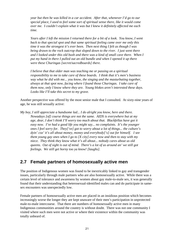*year but then he was killed in a car accident. After that, whenever I'd go to our special place, I used to feel some sort of spiritual sense there, like it would come over me. I couldn't explain what it was but I knew it definitely affected me each time.*

*Years after I left the mission I returned there for a bit of a look. You know, I went back to that special spot and that same spiritual feeling came over me only this time it was the strongest it's ever been. Then next thing I felt as though I was being drawn to the rock outcrop that sloped down to the river. I just went there and I looked under this old bush and there was a kind of small cave there. When I put my hand in there I pulled out an old bundle and when I opened it up there were these Churingas [secret/sacredboards] there.*

*I believe that that older man was teaching me or passing on a spiritual responsibility to me to take care of these boards. I think that it's men's business way what he did with me... you know, the singing and the masturbating together, always at that spot now, facing where I found those Churingas. I take care of them now, only I know where they are. Young blokes aren't interested these days. Looks like I'll take this secret to my grave.*

Another perspective was offered by the most senior male that I consulted. At sixty-nine years of age, he was still sexually active:

*My boy, I still appreciate a handsome lad... I do alright you know, here and there. Nowadays [of] course things are not the same. AIDS is everywhere but at my age, dear, I don't think I'll worry too much about that. Blackfellas have got it easy now. I've had a good life you might say... no complaints. It's the younger ones I feel sorry for. They['ve] got to worry about a lot of things... the culture's dyin' coz' it's all about money, money and everybody['s] out for himself. I see them young gay ones when I go to [X city] every now and then to stay with my niece. They think they know what it's all about... nobody cares about us old queens. Out of sight is out of mind. There's a lot of us around an' we still got feelings. We still get horny too ya know! [laughs].*

#### **2.7 Female partners of homosexually active men**

The position of Indigenous women was found to be inextricably linked to gay and transgender issues, particularly through male partners who are also homosexually active. While there was a certain level of tolerance and awareness by women about gay male-to-male sex, it was generally found that their understanding that heterosexual-identified males can and do participate in samesex encounters was unexpectedly low.

Female partners of homosexually active men are placed in an insidious position which becomes increasingly worse the longer they are kept unaware of their men's participation in unprotected male-to-male intercourse. That there are numbers of homosexually active men in many Indigenous communities around the country is without doubt. There was not one community I visited where such men were not active or where their existence within the community was totally unheard of.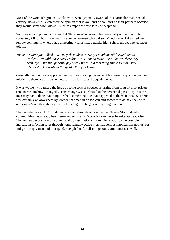Most of the women's groups I spoke with, were generally aware of this particular male sexual activity, however all expressed the opinion that it wouldn't or couldn't be their partners because they would somehow 'know'. Such assumptions were fairly widespread.

Some women expressed concern that 'those men' who were homosexually active 'could be spreading AIDS', but it was mainly younger women who did so. Months after I'd visited her remote community where I had a meeting with a mixed gender high school group, one teenager told me:

*You know, after you talked to us, us girls made sure we got condoms off [sexual health worker]. We told those boys we don't trust 'em no more. Don't know where they been, aye? We thought only gay ones [males] did that thing [male-to-male sex]. It's good to know about things like that you know.*

Generally, women were appreciative that I was raising the issue of homosexually active men in relation to them as partners, wives, girlfriends or casual acquaintances.

It was women who raised the issue of some sons or spouses returning from long or short prison sentences somehow 'changed'. This change was attributed to the perceived possibility that the men may have 'done that thing' or that 'something like that happened to them' in prison. There was certainly an awareness by women that men in prison can and sometimes do have sex with other men 'even though they themselves mightn't be gay or anything like that'.

The potential for an HIV epidemic to sweep through Aboriginal and Torres Strait Islander communities has already been remarked on in this Report but can never be reiterated too often. The vulnerable position of women, and by association children, in relation to the possible increase in infection rates through homosexually active men, has serious implications not just for Indigenous gay men and transgender people but for all Indigenous communities as well.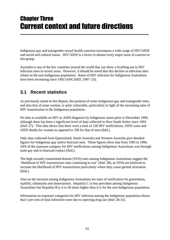## Chapter Three Current context and future directions

Indigenous gay and transgender sexual health concerns encompass a wide range of HIV/AIDS and social and cultural issues. HIV/AIDS is a factor in almost every major issue of concern to this group.

Australia is one of the few countries around the world that can show a levelling out in HIV infection rates in recent years. However, it should be noted that this decline in infection rates relates to the non-Indigenous population. Rates of HIV infection for Indigenous Australians have been increasing since 1992 (ANCARD, 1997: 25).

### **3.1 Recent statistics**

As previously stated in this Report, the position of some Indigenous gay and transgender men, and also that of some women, is quite vulnerable, particularly in light of the increasing rates of HIV transmission in the Indigenous population.

No data is available on HIV or AIDS diagnosis by Indigenous status prior to December 1996, although there has been a significant level of data collected in New South Wales since 1992 (ibid: 27). This data shows that there were a total of 128 HIV notifications, AIDS cases and AIDS deaths for women as opposed to 106 for that of men (ibid.).

Only data collected from Queensland, South Australia and Western Australia give detailed figures for Indigenous gay and/or bisexual men. These figures show that from 1985 to 1996, 54% of the exposure category for HIV notifications among Indigenous Australians was through male gay and or bisexual contact (ibid.).

The high sexually transmitted disease (STD) rates among Indigenous Australians suggest the 'likelihood of HIV transmission rates continuing to rise' (ibid: 28), as STDs are believed to increase the likelihood of HIV transmission particularly where they cause genital ulceration (ibid.).

Also on the increase among Indigenous Australians are rates of notification for gonorrhoea, syphilis, chlamydia and donovanosis. Hepatitis C is less prevalent among Indigenous Australians but Hepatitis B is 4 to 26 times higher than it is for the non-Indigenous population.

Information on exposure categories for HIV infection among the Indigenous population shows that 5 per cent of total infections were due to injecting drug use (ibid: 28-31).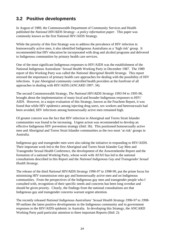### **3.2 Positive developments**

In August of 1989, the Commonwealth Department of Community Services and Health published the *National HIV/AIDS Strategy - a policy information paper*. This paper was commonly known as the first National HIV/AIDS Strategy.

While the priority of this first Strategy was to address the prevalence of HIV infection in homosexually active men, it also identified Indigenous Australians as a 'high risk' group. It recommended that HIV education be incorporated with drug and alcohol programs and delivered to Indigenous communities by primary health care services.

One of the most significant Indigenous responses to HIV/AIDS was the establishment of the National Indigenous Australians' Sexual Health Working Party in December 1987. The 1989 report of this Working Party was called the *National Aboriginal Health Strategy*. This report stressed the importance of primary health care approaches for dealing with the possibility of HIV infections. It put Aboriginal community controlled health providers at the forefront of all approaches in dealing with HIV/AIDS (ANCARD 1997: 34).

The second Commonwealth Strategy, *The National HIV/AIDS Strategy 1993-94 to 1995-96*, brought about the implementation of many local and broader Indigenous responses to HIV/ AIDS. However, in a major evaluation of this Strategy, known as the Feachem Report, it was found that while HIV epidemics among injecting drug users, sex workers and heterosexuals had been avoided, HIV infections among homosexually active men remained high.

Of greater concern was the fact that HIV infection in Aboriginal and Torres Strait Islander communities was found to be increasing. Urgent action was recommended to develop an effective Indigenous HIV prevention strategy (ibid: 36). This positioned homosexually active men and Aboriginal and Torres Strait Islander communities as the two most 'at risk' groups in Australia.

Indigenous gay and transgender men were also taking the initiative in responding to HIV/AIDS. Their important work led to the first Aboriginal and Torres Strait Islander Gay Men and Transgender Sexual Health Conference, the development of the Anwernekenhe Report and the formation of a national Working Party, whose work with AFAO has led to the national consultations described in this Report and the *National Indigenous Gay and Transgender Sexual Health Strategy*.

The release of the third *National HIV/AIDS Strategy 1996-97 to 1998-99*, put the prime focus for minimising HIV transmission onto gay and homosexually active men and on Indigenous communities. From the perspectives of the Indigenous gay men and transgender people who I consulted with, recognition of their specific needs and concerns has been long overdue and should be given priority. Clearly, the findings from the national consultations are that Indigenous gay and transgender concerns warrant urgent attention.

The recently released *National Indigenous Australians' Sexual Health Strategy 1996-97 to 1998- 99* outlines the latest positive developments in the Indigenous community and in government responses to the HIV/AIDS epidemic in Australia. In developing this Strategy, the ANCARD Working Party paid particular attention to three important Reports (ibid: 2):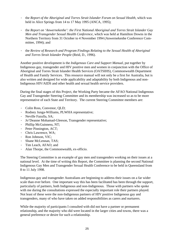- · the *Report of the Aboriginal and Torres Strait Islander Forum on Sexual Health*, which was held in Alice Springs from 14 to 17 May 1995 (ANCA, 1995);
- · the *Report on 'Anwernekenhe': the First National Aboriginal and Torres Strait Islander Gay Men and Transgender Sexual Health Conference*, which was held at Hamilton Downs in the Northern Territory from 31 October to 4 November 1994 (Anwernekenhe Conference Committee, 1994); and
- · the *Review of Research and Program Findings Relating to the Sexual Health of Aboriginal and Torres Strait Islander People* (Reid, D., 1996).

Another positive development is the *Indigenous Care and Support Manual*, put together by Indigenous gay, transgender and HIV positive men and women in conjunction with the Office of Aboriginal and Torres Strait Islander Health Services (OATSIHS), Commonwealth Department of Health and Family Services. This resource manual will not only be a first for Australia, but is also written and designed for wide applicability and adaptability by both Indigenous and non-Indigenous HIV/AIDS and other health and sexual health service providers.

During the final stages of this Project, the Working Party became the AFAO National Indigenous Gay and Transgender Steering Committee and its membership was increased so as to be more representative of each State and Territory. The current Steering Committee members are:

- · Colin Ross, Convenor, QLD;
- · Rodney Junga-Williams, PLWHA representative;
- · Neville Fazulla, SA;
- · Jo'Deanne Mohamad-Gleeson, Transgender representative;
- · Phillip McGuinness, NT;
- · Peter Pinnington, ACT;
- · Chris Lawrence, WA;
- · Ron Johnson, VIC;
- · Shane McLennan, TAS;
- · Tim Leach, AFAO; and
- · Alan Thorpe, the Commonwealth, ex-officio.

The Steering Committee is an example of gay men and transgenders working on their issues at a national level. At the time of writing this Report, the Committee is planning the second National Indigenous Gay Men and Transgender Sexual Health Conference to be held in Queensland from 8 to 11 July 1998.

Indigenous gay and transgender Australians are beginning to address their issues on a far wider scale than ever before. One important way this has been facilitated has been through the support, particularly of partners, both Indigenous and non-Indigenous. Those with partners who spoke with me during the consultations expressed the especially important role their partners played. Not least of these were the non-Indigenous partners of HIV positive Indigenous gay and transgenders, many of who have taken on added responsibilities as carers and nurturers.

While the majority of participants I consulted with did not have a partner or permanent relationship, and the majority who did were located in the larger cities and towns, there was a general preference or desire for such a relationship.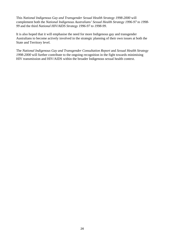This *National Indigenous Gay and Transgender Sexual Health Strategy 1998-2000* will complement both the *National Indigenous Australians' Sexual Health Strategy 1996-97 to 1998- 99* and the third *National HIV/AIDS Strategy 1996-97 to 1998-99*.

It is also hoped that it will emphasise the need for more Indigenous gay and transgender Australians to become actively involved in the strategic planning of their own issues at both the State and Territory level.

The *National Indigenous Gay and Transgender Consultation Report* and *Sexual Health Strategy 1998-2000* will further contribute to the ongoing recognition in the fight towards minimising HIV transmission and HIV/AIDS within the broader Indigenous sexual health context.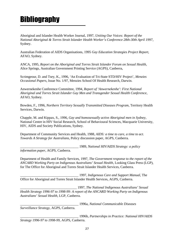# **Bibliography**

Aboriginal and Islander Health Worker Journal, 1997, *Uniting Our Voices: Report of the National Aboriginal & Torres Strait Islander Health Worker's Conference 28th-30th April 1997*, Sydney.

Australian Federation of AIDS Organisations, 1995 *Gay Education Strategies Project Report*, AFAO, Sydney.

ANCA, 1995, *Report on the Aboriginal and Torres Strait Islander Forum on Sexual Health,* Alice Springs, Australian Government Printing Service (AGPS), Canberra,

Scrimgeour, D. and Tsey, K., 1996, 'An Evaluation of Tri-State STD/HIV Project', *Menzies Occasional Papers*, Issue No. 1/97, Menzies School Of Health Research, Darwin.

Anwernekenhe Conference Committee, 1994, *Report of 'Anwernekenhe': First National Aboriginal and Torres Strait Islander Gay Men and Transgender Sexual Health Conference*, AFAO, Sydney.

Bowden, F., 1996, *Northern Territory Sexually Transmitted Diseases Program*, Territory Health Services, Darwin.

Chapple, M. and Kippax, S., 1996, *Gay and homosexually active Aboriginal men in Sydney*, National Centre in HIV Social Research, School of Behavioural Sciences, Macquarie University, HIV, AIDS and Society Publications, Sydney.

Department of Community Services and Health, 1988, *AIDS: a time to care, a time to act. Towards A Strategy for Australians*, Policy discussion paper, AGPS, Canberra.

\_\_\_\_\_\_\_\_\_\_\_\_\_\_\_\_\_\_\_\_\_\_\_\_\_\_\_\_\_\_\_\_\_\_ 1989, *National HIV/AIDS Strategy: a policy*

*information paper*, AGPS, Canberra.

Department of Health and Family Services, 1997, *The Government response to the report of the ANCARD Working Party on Indigenous Australians' Sexual Health*, Looking Glass Press (LGP), for The Office for Aboriginal and Torres Strait Islander Health Services, Canberra.

\_\_\_\_\_\_\_\_\_\_\_\_\_\_\_\_\_\_\_\_\_\_\_\_\_\_\_\_\_\_\_\_\_\_ 1997, *Indigenous Care and Support Manual*, The Office for Aboriginal and Torres Strait Islander Health Services, AGPS, Canberra.

\_\_\_\_\_\_\_\_\_\_\_\_\_\_\_\_\_\_\_\_\_\_\_\_\_\_\_\_\_\_\_\_\_ 1997, *The National Indigenous Australians' Sexual Health Strategy 1996-97 to 1998-99: A report of the ANCARD Working Party on Indigenous Australians' Sexual Health,* LGP, Canberra.

\_\_\_\_\_\_\_\_\_\_\_\_\_\_\_\_\_\_\_\_\_\_\_\_\_\_\_\_\_\_\_\_\_\_ 1996a, *National Communicable Diseases Surveillance Strategy*, AGPS, Canberra.

\_\_\_\_\_\_\_\_\_\_\_\_\_\_\_\_\_\_\_\_\_\_\_\_\_\_\_\_\_\_\_\_\_\_ 1996b, *Partnerships in Practice: National HIV/AIDS Strategy 1996-97 to 1998-99,* AGPS, Canberra.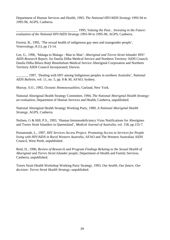Department of Human Services and Health, 1993, *The National HIV/AIDS Strategy 1993-94 to 1995-96*, AGPS, Canberra.

\_\_\_\_\_\_\_\_\_\_\_\_\_\_\_\_\_\_\_\_\_\_\_\_\_\_\_\_\_\_\_\_\_\_\_\_ 1995, *Valuing the Past... Investing in the Future: evaluation of the National HIV/AIDS Strategy 1993-94 to 1995-96*, AGPS, Canberra.

Forrest, B., 1995, 'The sexual health of indigenous gay men and transgender people', *Venereology,* 8 (1), pp 13-14.

Lee, G., 1996, 'Malaga to Malaga - Man to Man': *Aboriginal and Torres Strait Islander HIV/ AIDS Research Report,* for Danila Dilba Medical Service and Northern Territory AIDS Council, Danila Dilba Biluru Butji Binnilutlum Medical Service Aboriginal Corporation and Northern Territory AIDS Council Incorporated, Darwin.

\_\_\_\_\_\_\_ 1997, 'Dealing with HIV among Indigenous peoples in northern Australia', *National AIDS Bulletin*, vol. 11, no. 5, pp. 8 & 30, AFAO, Sydney.

Murray, S.O., 1992, *Oceanic Homosexualities,* Garland, New York.

National Aboriginal Health Strategy Committee, 1994, *The National Aboriginal Health Strategy: an evaluation*, Department of Human Services and Health, Canberra, unpublished.

National Aboriginal Health Strategy Working Party, 1989, *A National Aboriginal Health Strategy*, AGPS, Canberra.

Neilsen, G & Hill, P.S., 1993, 'Human Immunodeficiency Virus Notifications for Aborigines and Torres Strait Islanders in Queensland', *Medical Journal of Australia*, vol. 158, pp.155-7.

Portsmouth, L., 1997, *HIV Services Access Project: Promoting Access to Services for People living with HIV/AIDS in Rural Western Australia*, AFAO and The Western Australian AIDS Council, West Perth, unpublished.

Reid, D., 1996, *Review of Research and Program Findings Relating to the Sexual Health of Aboriginal and Torres Strait Islander people*, Department of Health and Family Services, Canberra, unpublished.

Torres Strait Health Workshop Working Party Strategy, 1993, *Our health, Our future, Our decision: Torres Strait Health Strategy,* unpublished.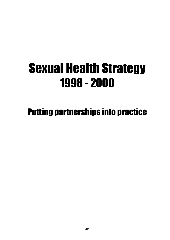# Sexual Health Strategy 1998 - 2000

# Putting partnerships into practice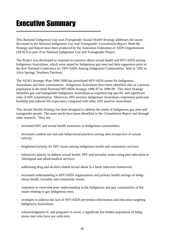# Executive Summary

This *National Indigenous Gay and Transgender Sexual Health Strategy* addresses the issues discussed in the *National Indigenous Gay and Transgender Consultation Report*. Both the Strategy and Report have been produced by the Australian Federation of AIDS Organisations (AFAO) as part of its National Indigenous Gay and Transgender Project.

The Project was developed in response to concerns about sexual health and HIV/AIDS among Indigenous Australians, which were raised by Indigenous gay men and their supporters prior to the first National Conference on 'HIV/AIDS Among Indigenous Communities' held in 1992 in Alice Springs, Northern Territory.

The AFAO Strategic Plan 1996-2000 has prioritised HIV/AIDS issues for Indigenous Australians and their communities. Indigenous Australians have been identified also as a priority population in the third *National HIV/AIDS Strategy 1996-97 to 1998-99*. This third Strategy identifies gay and transgender Indigenous Australians as experiencing specific and significant risks of HIV transmission. Moreover, HIV positive Indigenous Australians experience particular hardship and reduced life expectancy compared with other HIV positive Australians.

This *Sexual Health Strategy* has been designed to address the needs of Indigenous gay men and transgender people. The main needs have been identified in the *Consultation Report* and through other research. They are:

- · increased HIV and sexual health awareness in Indigenous communities;
- · increased condom use and safe behavioural practices among men irrespective of sexual activity;
- heightened priority for HIV issues among Indigenous health and community services;
- · enhanced capacity to address sexual health, HIV and sexuality issues using peer education in Aboriginal and allied medical services;
- · addressing drug and alcohol related sexual abuse in a harm reduction framework;
- increased understanding in HIV/AIDS organisations and primary health settings of Indigenous health, sexuality and community issues;
- · responses to overcome poor understanding in the Indigenous and gay communities of the issues relating to gay Indigenous men;
- · strategies to address the lack of HIV/AIDS prevention information and education targeting Indigenous Australians;
- · acknowledgment of, and programs to assist, a significant but hidden population of Indigenous men who have sex with men;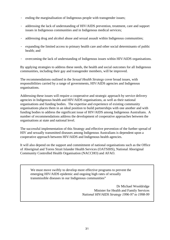- · ending the marginalisation of Indigenous people with transgender issues;
- · addressing the lack of understanding of HIV/AIDS prevention, treatment, care and support issues in Indigenous communities and in Indigenous medical services;
- addressing drug and alcohol abuse and sexual assault within Indigenous communities;
- · expanding the limited access to primary health care and other social determinants of public health; and
- · overcoming the lack of understanding of Indigenous issues within HIV/AIDS organisations.

By applying strategies to address these needs, the health and social outcomes for all Indigenous communities, including their gay and transgender members, will be improved.

The recommendations outlined in the *Sexual Health Strategy* cover broad issues, with responsibilities carried by a range of governments, HIV/AIDS agencies and Indigenous organisations.

Addressing these issues will require a cooperative and strategic approach by service delivery agencies in Indigenous health and HIV/AIDS organisations, as well as their national organisations and funding bodies. The expertise and experience of existing community organisations places them in an ideal position to build partnerships with one another and with funding bodies to address the significant issue of HIV/AIDS among Indigenous Australians. A number of recommendations address the development of cooperative approaches between the organisations at state and national level.

The successful implementation of this Strategy and effective prevention of the further spread of HIV and sexually transmitted diseases among Indigenous Australians is dependent upon a cooperative approach between HIV/AIDS and Indigenous health agencies.

It will also depend on the support and commitment of national organisations such as the Office of Aboriginal and Torres Strait Islander Health Services (OATSIHS), National Aboriginal Community Controlled Health Organisation (NACCHO) and AFAO.

We must move swiftly to develop more effective programs to prevent the emerging HIV/AIDS epidemic and ongoing high rates of sexually transmissible diseases in our Indigenous communities"

> Dr Michael Wooldridge Minister for Health and Family Services *National HIV/AIDS Strategy 1996-97 to 1998-99*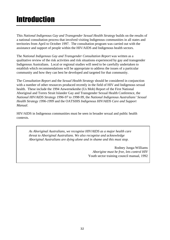# Introduction

This *National Indigenous Gay and Transgender Sexual Health Strategy* builds on the results of a national consultation process that involved visiting Indigenous communities in all states and territories from April to October 1997. The consultation program was carried out with the assistance and support of people within the HIV/AIDS and Indigenous health sectors.

The *National Indigenous Gay and Transgender Consultation Report* was written as a qualitative review of the risk activities and risk situations experienced by gay and transgender Indigenous Australians. Local or regional studies will need to be carefully undertaken to establish which recommendations will be appropriate to address the issues of a particular community and how they can best be developed and targeted for that community.

The *Consultation Report* and the *Sexual Health Strategy* should be considered in conjunction with a number of other resources produced recently in the field of HIV and Indigenous sexual health. These include the 1994 Anwernekenhe (Us Mob) Report of the First National Aboriginal and Torres Strait Islander Gay and Transgender Sexual Health Conference, the *National HIV/AIDS Strategy 1996-97 to 1998-99*, the *National Indigenous Australians' Sexual Health Strategy 1996-1999* and the OATSIHS *Indigenous HIV/AIDS Care and Support Manual*.

HIV/AIDS in Indigenous communities must be seen in broader sexual and public health contexts.

*As Aboriginal Australians, we recognise HIV/AIDS as a major health care threat to Aboriginal Australians. We also recognise and acknowledge Aboriginal Australians are dying alone and in shame and this must stop.*

> Rodney Junga-Williams *Aborigine must be free, lets control HIV* Youth sector training council manual, 1992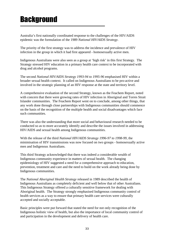# **Background**

Australia's first nationally coordinated response to the challenges of the HIV/AIDS epidemic was the formulation of the 1989 *National HIV/AIDS Strategy*.

The priority of the first strategy was to address the incidence and prevalence of HIV infection in the group in which it had first appeared - homosexually active men.

Indigenous Australians were also seen as a group at 'high risk' in this first Strategy. The Strategy stressed HIV education in a primary health care context to be incorporated with drug and alcohol programs.

The second *National HIV/AIDS Strategy 1993-94 to 1995-96* emphasised HIV within a broader sexual health context. It called on Indigenous Australians to be pro-active and involved in the strategic planning of an HIV response at the state and territory level.

A comprehensive evaluation of the second Strategy, known as the Feachem Report, noted with concern that there were growing rates of HIV infection in Aboriginal and Torres Strait Islander communities. The Feachem Report went on to conclude, among other things, that any work done through close partnerships with Indigenous communities should commence on the basis of the recognition of the multiple health and social disadvantages which face such communities.

There was also the understanding that more social and behavioural research needed to be conducted so as to more accurately identify and describe the issues involved in addressing HIV/AIDS and sexual health among Indigenous communities.

With the release of the third *National HIV/AIDS Strategy 1996-97 to 1998-99*, the minimisation of HIV transmissions was now focused on two groups - homosexually active men and Indigenous Australians.

This third Strategy acknowledged that there was indeed a considerable wealth of Indigenous community experience in matters of sexual health. The changing epidemiology of HIV suggested a need for a comprehensive approach to education, prevention, treatment and care and the need to build on the work already being done by Indigenous communities.

The *National Aboriginal Health Strategy* released in 1989 described the health of Indigenous Australians as completely deficient and well below that of other Australians. This Indigenous Strategy offered a culturally sensitive framework for dealing with Aboriginal health. The Strategy strongly emphasised Indigenous community control of health services as a way to ensure that primary health care services were culturally accepted and socially acceptable.

Basic principles were put forward that stated the need for not only recognition of the Indigenous holistic view of health, but also the importance of local community control of and participation in the development and delivery of health care.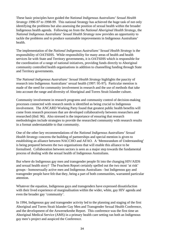These basic principles have guided the *National Indigenous Australians' Sexual Health Strategy 1996-97 to 1998-99*. This national Strategy has achieved the huge task of not only identifying the problems but also assessing the position of sexual health within the broader Indigenous health agenda. Following on from the *National Aboriginal Health Strategy*, the *National Indigenous Australians' Sexual Health Strategy* now provides an opportunity to tackle the problems and to produce sustainable improvements in Indigenous Australians' health.

The implementation of the *National Indigenous Australians' Sexual Health Strategy* is the responsibility of OATSIHS. While responsibility for many areas of health and health services lie with State and Territory governments, it is OATSIHS which is responsible for the coordination of a range of national initiatives, providing funds directly to Aboriginal community controlled health organisations in addition to channelling funding through State and Territory governments.

The *National Indigenous Australians' Sexual Health Strategy* highlights the paucity of research into Indigenous Australians' sexual health (1997: 95-97). Particular mention is made of the need for community involvement in research and the use of methods that take into account the range and diversity of Aboriginal and Torres Strait Islander culture.

Community involvement in research programs and community control of decision-making processes connected with research needs is identified as being crucial to Indigenous involvement. The ANCARD Working Party found that greatest public health benefits will come from research processes that are developed collaboratively between researchers and researched (ibid: 96). Also stressed is the importance of ensuring that research methodologies include strategies to provide the researched community with research results in a format understandable to that community.

One of the other key recommendations of the *National Indigenous Australians' Sexual Health Strategy* concerns the building of partnerships and special mention is given to establishing an alliance between NACCHO and AFAO. A 'Memorandum of Understanding' is being prepared between the two organisations that will enable this alliance to be formalised. Collaboration between sectors is seen as a major step towards the fundamental process of dealing with the sexual health of Indigenous Australians.

But where do Indigenous gay men and transgender people fit into the changing HIV/AIDS and sexual health story? The Feachem Report certainly spelled out the two most 'at risk' groups - homosexually active men and Indigenous Australians - but Indigenous gay and transgender people have felt that they, being a part of both communities, warranted particular attention.

Whatever the equation, Indigenous gays and transgenders have expressed dissatisfaction with their lived experience of marginalisation within the wider, white, gay HIV agenda and even the broader gay 'community'.

In 1994, Indigenous gay and transgender activity led to the planning and staging of the first Aboriginal and Torres Strait Islander Gay Men and Transgender Sexual Health Conference, and the development of the Anwernekenhe Report. This conference was the first time an Aboriginal Medical Service (AMS) in a primary health care setting ran both an Indigenous gay men's project and auspiced the Conference.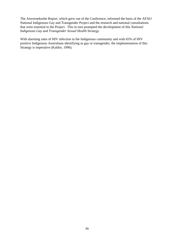The Anwernekenhe Report, which grew out of the Conference, informed the basis of the AFAO National Indigenous Gay and Transgender Project and the research and national consultations that were essential to the Project. This in turn prompted the development of this *National Indigenous Gay and Transgender Sexual Health Strategy*.

With alarming rates of HIV infection in the Indigenous community and with 65% of HIV positive Indigenous Australians identifying as gay or transgender, the implementation of this Strategy is imperative (Kaldor, 1996).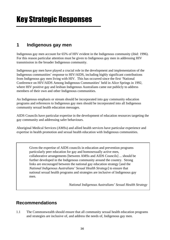#### **1 Indigenous gay men**

Indigenous gay men account for 65% of HIV evident in the Indigenous community (ibid: 1996). For this reason particular attention must be given to Indigenous gay men in addressing HIV transmission in the broader Indigenous community.

Indigenous gay men have played a crucial role in the development and implementation of the Indigenous communities' response to HIV/AIDS, including highly significant contributions from Indigenous gay men living with HIV. This has occurred since the first 'National Conference on HIV/AIDS Among Indigenous Communities' held in Alice Springs in 1992, where HIV positive gay and lesbian Indigenous Australians came out publicly to address members of their own and other Indigenous communities.

An Indigenous emphasis or stream should be incorporated into gay community education programs and references to Indigenous gay men should be incorporated into all Indigenous community sexual health education messages.

AIDS Councils have particular expertise in the development of education resources targeting the gay community and addressing safer behaviours.

Aboriginal Medical Services (AMSs) and allied health services have particular experience and expertise in health promotion and sexual health education with Indigenous communities.

Given the expertise of AIDS councils in education and prevention programs particularly peer education for gay and homosexually active men, collaborative arrangements [between AMSs and AIDS Councils] ... should be further developed in the Indigenous community around the country. Strong links are encouraged between the national gay education strategy [and the *National Indigenous Australians' Sexual Health Strategy*] to ensure that national sexual health programs and strategies are inclusive of Indigenous gay men.

*National Indigenous Australians' Sexual Health Strategy*

#### **Recommendations**

1.1 The Commonwealth should ensure that all community sexual health education programs and strategies are inclusive of, and address the needs of, Indigenous gay men.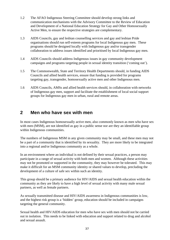- 1.2 The AFAO Indigenous Steering Committee should develop strong links and communication mechanisms with the Advisory Committee to the Review of Education and Development of a National Education Strategy for Gay and Other Homosexually Active Men, to ensure the respective strategies are complementary.
- 1.3 AIDS Councils, gay and lesbian counselling services and gay and lesbian Pride organisations should run self-esteem programs for local Indigenous gay men. These programs should be designed locally with Indigenous gay and/or transgender collaboration to address issues identified and prioritised by local Indigenous gay men.
- 1.4 AIDS Councils should address Indigenous issues in gay community development campaigns and programs targeting people in sexual identity transition ('coming out').
- 1.5 The Commonwealth, State and Territory Health Departments should, in funding AIDS Councils and allied health services, ensure that funding is provided for programs targeting gay, transgender, homosexually active men and other Indigenous men.
- 1.6 AIDS Councils, AMSs and allied health services should, in collaboration with networks of Indigenous gay men, support and facilitate the establishment of local social support groups for Indigenous gay men in urban, rural and remote areas.

#### **2 Men who have sex with men**

In most cases Indigenous homosexually active men, also commonly known as men who have sex with men (MSM), are not identified as gay in a public sense nor are they an identifiable group within Indigenous communities.

The numbers of Indigenous MSM in any given community may be small, and these men may not be a part of a community that is identified by its sexuality. They are more likely to be integrated into a regional and/or Indigenous community as a whole.

In an environment where an individual is not defined by their sexual practices, a person may participate in a range of sexual activity with both men and women. Although these activities may not be promoted or supported in the community, they may however be tolerated. This may make it difficult for an MSM community identity or shared values to develop, precluding the development of a culture of safe sex within such an identity.

This group should be a primary audience for HIV/AIDS and sexual health education within the community as they are likely to have a high level of sexual activity with many male sexual partners, as well as female partners.

As sexually transmitted disease and HIV/AIDS awareness in Indigenous communities is low, and the highest risk group is a 'hidden' group, education should be included in campaigns targeting the general community.

Sexual health and HIV/AIDS education for men who have sex with men should not be carried out in isolation. This needs to be linked with education and support related to drug and alcohol and sexual assault.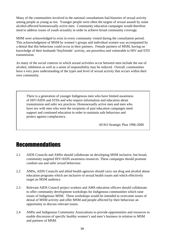Many of the communities involved in the national consultations had histories of sexual activity among people as young as ten. Younger people were often the targets of sexual assault by some alcohol-affected homosexually active men. Community education campaigns would therefore need to address issues of youth sexuality in order to achieve broad community coverage.

MSM were acknowledged to exist in every community visited during the consultation period. This acknowledgment of MSM by women's groups and individual women was accompanied by a denial that this behaviour could occur in their partners. Female partners of MSM, having no knowledge of their husbands'/boyfriends' activity, are powerless and vulnerable to HIV and STD transmission.

As many of the social contexts in which sexual activities occur between men include the use of alcohol, inhibition as well as a sense of responsibility may be reduced. Overall, communities have a very poor understanding of the types and level of sexual activity that occurs within their own community.

There is a generation of younger Indigenous men who have limited awareness of HIV/AIDS and STDs and who require information and education about transmission and safer sex practices. Homosexually active men and men who have sex with men who were the recipients of past education campaigns need support and continued education in order to maintain safe behaviour and protect against complacency.

AFAO Strategic Plan 1996-2000

### Recommendations

- 2.1 AIDS Councils and AMSs should collaborate on developing MSM inclusive, but broad, community targeted HIV/AIDS awareness resources. These campaigns should promote condom use and safer sexual behaviour.
- 2.2 AMSs, AIDS Councils and allied health agencies should carry out drug and alcohol abuse education programs which are inclusive of sexual health issues and which effectively target an MSM audience.
- 2.3 Relevant AIDS Council project workers and AMS education officers should collaborate to offer community development workshops for Indigenous communities which raise issues of Indigenous MSM. These workshops would be intended to overcome issues of denial of MSM activity and offer MSM and people affected by their behaviour an opportunity to discuss relevant issues.
- 2.4 AMSs and Indigenous Community Associations to provide opportunities and resources to enable discussion of specific healthy women's and men's business in relation to MSM and partners of MSM.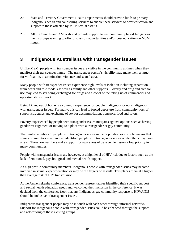- 2.5 State and Territory Government Health Departments should provide funds to primary Indigenous health and counselling services to enable these services to offer education and support to those affected by MSM sexual assault.
- 2.6 AIDS Councils and AMSs should provide support to any community based Indigenous men's groups wanting to offer discussion opportunities and/or peer education on MSM issues.

### **3 Indigenous Australians with transgender issues**

Unlike MSM, people with transgender issues are visible in the community at times when they manifest their transgender nature. The transgender person's visibility may make them a target for vilification, discrimination, violence and sexual assault.

Many people with transgender issues experience high levels of isolation including separation from peers and role models as well as family and other supports. Poverty and drug and alcohol use may lead to sex being exchanged for drugs and alcohol or the taking up of commercial and opportunistic sex work.

Being kicked out of home is a common experience for people, Indigenous or non-Indigenous, with transgender issues. For many, this can lead to forced departure from community, loss of support structures and exchange of sex for accommodation, transport, food and so on.

Poverty experienced by people with transgender issues mitigates against options such as having gender reassignment or moving to a place with a transgender or gay community.

The limited numbers of people with transgender issues in the population as a whole, means that some communities may have no identified people with transgender issues while others may have a few. These low numbers make support for awareness of transgender issues a low priority in many communities.

People with transgender issues are however, at a high level of HIV risk due to factors such as the lack of emotional, psychological and mental health support.

As high profile community members, Indigenous people with transgender issues may become involved in sexual experimentation or may be the targets of assault. This places them at a higher than average risk of HIV transmission.

At the Anwernekenhe conference, transgender representatives identified their specific support and sexual health education needs and welcomed their inclusion in the conference. It was decided from the conference floor that any Indigenous gay community response to HIV/AIDS should be inclusive of transgender issues.

Indigenous transgender people may be in touch with each other through informal networks. Support for Indigenous people with transgender issues could be enhanced through the support and networking of these existing groups.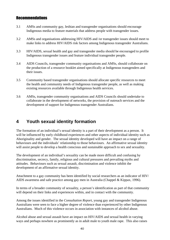#### **Recommendations**

- 3.1 AMSs and community gay, lesbian and transgender organisations should encourage Indigenous media to feature materials that address people with transgender issues.
- 3.2 AMSs and organisations addressing HIV/AIDS and /or transgender issues should meet to make links to address HIV/AIDS risk factors among Indigenous transgender Australians.
- 3.3 HIV/AIDS, sexual health and gay and transgender media should be encouraged to profile Indigenous transgender issues and feature individual transgender people.
- 3.4 AIDS Councils, transgender community organisations and AMSs, should collaborate on the production of a resource booklet aimed specifically at Indigenous transgenders and their issues.
- 3.5 Community based transgender organisations should allocate specific resources to meet the health and community needs of Indigenous transgender people, as well as making existing resources available through Indigenous health services.
- 3.6 AMSs, transgender community organisations and AIDS Councils should undertake to collaborate in the development of networks, the provision of outreach services and the development of support for Indigenous transgender Australians.

### **4 Youth sexual identity formation**

The formation of an individual's sexual identity is a part of their development as a person. It will be influenced by early childhood experiences and other aspects of individual identity such as Aboriginality and gender. The sexual identity developed will have an impact on a range of behaviours and the individuals' relationship to those behaviours. An affirmative sexual identity will assist people to develop a health conscious and sustainable approach to sex and sexuality.

The development of an individual's sexuality can be made more difficult and confusing by discrimination, secrecy, family, religious and cultural pressures and prevailing myths and attitudes. Behaviours such as sexual assault, discrimination and violence inhibit the development of an affirmative sexual identity.

Attachment to a gay community has been identified by social researchers as an indicator of HIV/ AIDS awareness and safe practice among gay men in Australia (Chappel & Kippax, 1996).

In terms of a broader community of sexuality, a person's identification as part of that community will depend on their links and experiences within, and in contact with the community.

Among the issues identified in the *Consultation Report*, young gay and transgender Indigenous Australians were seen to face a higher degree of violence than experienced by other Indigenous Australians. Much of this violence occurs in association with instances of alcohol abuse.

Alcohol abuse and sexual assault have an impact on HIV/AIDS and sexual health in varying ways and perhaps nowhere as prominently as in adult male to youth male rape. This also raises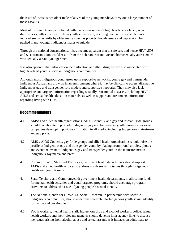the issue of incest, since older male relatives of the young men/boys carry out a large number of these assaults.

Most of the assaults are perpetrated within an environment of high levels of violence, which diminishes youth self-esteem. Low youth self-esteem, resulting from a history of alcoholinduced sexual assaults by older men as well as poverty, hopelessness and depression, has pushed many younger Indigenous males to suicide.

Through the national consultations, it has become apparent that unsafe sex, and hence HIV/AIDS and STD transmission, could result from the behaviour of intoxicated homosexually active males who sexually assault younger men.

It is also apparent that intoxication, detoxification and illicit drug use are also associated with high levels of youth suicide in Indigenous communities.

Although most Indigenous youth grow up in supportive networks, young gay and transgender Indigenous Australians grow up in an environment where it may be difficult to access affirmative Indigenous gay and transgender role models and supportive networks. They may also lack appropriate and targeted information regarding sexually transmitted diseases, including HIV/ AIDS and sexual health education materials, as well as support and treatments information regarding living with HIV.

#### **Recommendations**

- 4.1 AMSs and allied health organisations, AIDS Councils, and gay and lesbian Pride groups should collaborate to promote Indigenous gay and transgender youth through a series of campaigns developing positive affirmation in all media, including Indigenous mainstream and gay press.
- 4.2 AMSs, AIDS Councils, gay Pride groups and allied health organisations should raise the profile of Indigenous gay and transgender youth by placing promotional articles, photos and events relevant to Indigenous gay and transgender youth in the mainstream/non-Indigenous gay media and press.
- 4.3 Commonwealth, State and Territory government health departments should support AMSs and allied health services to address youth sexuality issues through Indigenous health and youth forums.
- 4.4 State, Territory and Commonwealth government health departments, in allocating funds for mental health activities and youth targeted programs, should encourage program providers to address the issue of young people's sexual identity.
- 4.5 The National Centre for HIV/AIDS Social Research, in partnership with specific Indigenous communities, should undertake research into Indigenous youth sexual identity formation and development.
- 4.6 Youth workers, mental health staff, Indigenous drug and alcohol workers, police, sexual health workers and their relevant agencies should develop inter-agency links to discuss the issues arising from alcohol abuse and sexual assault as it impacts on adult male to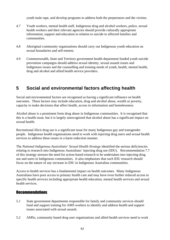youth male rape, and develop programs to address both the perpetrators and the victims.

- 4.7 Youth workers, mental health staff, Indigenous drug and alcohol workers, police, sexual health workers and their relevant agencies should provide culturally appropriate information, support and education in relation to suicide to affected families and communities.
- 4.8 Aboriginal community organisations should carry out Indigenous youth education on sexual boundaries and self-esteem.
- 4.9 Commonwealth, State and Territory government health department funded youth suicide prevention campaigns should address sexual identity, sexual assault issues and Indigenous issues and the counselling and training needs of youth, health, mental health, drug and alcohol and allied health service providers.

### **5 Social and environmental factors affecting health**

Social and environmental factors are recognised as having a significant influence on health outcomes. These factors may include education, drug and alcohol abuse, wealth or poverty, capacity to make decisions that affect health, access to information and homelessness.

Alcohol abuse is a prominent form drug abuse in Indigenous communities. It is recognised that this is a health issue, but it is largely unrecognised that alcohol abuse has a significant impact on sexual health.

Recreational illicit drug use is a significant issue for many Indigenous gay and transgender people. Indigenous health organisations need to work with injecting drug users and sexual health services to address these issues in a harm reduction manner.

The *National Indigenous Australians' Sexual Health Strategy* identified the serious deficiencies relating to research into Indigenous Australians' injecting drug use (IDU). Recommendation 7.7 of this strategy stresses the need for action-based research to be undertaken into injecting drug use and users in Indigenous communities. It also emphasises that such IDU research should focus on the nature of any increase in IDU in Indigenous Australian communities.

Access to health services has a fundamental impact on health outcomes. Many Indigenous Australians have poor access to primary health care and may have even further reduced access to specific health services including appropriate health education, mental health services and sexual health services.

#### Recommendations

- 5.1 State government departments responsible for family and community services should fund and support training for AMS workers to identify and address health and support issues associated with sexual assault.
- 5.2 AMSs, community based drug user organisations and allied health services need to work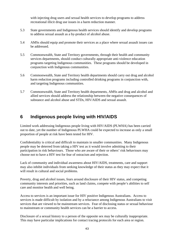with injecting drug users and sexual health services to develop programs to address recreational illicit drug use issues in a harm reduction manner.

- 5.3 State governments and Indigenous health services should identify and develop programs to address sexual assault as a by-product of alcohol abuse.
- 5.4 AMSs should equip and promote their services as a place where sexual assault issues can be addressed.
- 5.5 Commonwealth, State and Territory governments, through their health and community services departments, should conduct culturally appropriate anti-violence education programs targeting Indigenous communities. These programs should be developed in conjunction with Indigenous communities.
- 5.6 Commonwealth, State and Territory health departments should carry out drug and alcohol harm reduction programs including controlled drinking programs in conjunction with, and targeting Indigenous communities.
- 5.7 Commonwealth, State and Territory health departments, AMSs and drug and alcohol and allied services should address the relationship between the negative consequences of substance and alcohol abuse and STDs, HIV/AIDS and sexual assault.

#### **6 Indigenous people living with HIV/AIDS**

Limited work addressing Indigenous people living with HIV/AIDS (PLWHA) has been carried out to date, yet the number of Indigenous PLWHA could be expected to increase as only a small proportion of people at risk have been tested for HIV.

Confidentiality is critical and difficult to maintain in smaller communities. Many Indigenous people may be deterred from taking a HIV test as it would involve admitting to their participation in risk behaviours. Those who are aware of their or others' risk behaviours may choose not to have a HIV test for fear of ostracism and rejection.

Lack of community and individual awareness about HIV/AIDS, treatments, care and support may also inhibit individuals from seeking knowledge of their status as they may expect that it will result in cultural and social problems.

Poverty, drug and alcohol issues, fears around disclosure of their HIV status, and competing community interests and priorities, such as land claims, compete with people's abilities to self care and monitor health and well being.

Access to services is an important issue for HIV positive Indigenous Australians. Access to services is made difficult by isolation and by a reluctance among Indigenous Australians to visit services that are viewed to be mainstream services. Fear of disclosing status or sexual behaviour to mainstream or community health services can be a barrier to access.

Disclosure of a sexual history to a person of the opposite sex may be culturally inappropriate. This may have particular implications for contact tracing protocols for each area or region.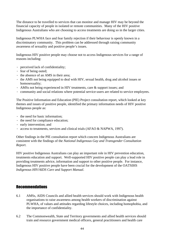The distance to be travelled to services that can monitor and manage HIV may be beyond the financial capacity of people in isolated or remote communities. Many of the HIV positive Indigenous Australians who are choosing to access treatments are doing so in the larger cities.

Indigenous PLWHA face and fear family rejection if their behaviour is openly known in a discriminatory community. This problem can be addressed through raising community awareness of sexuality and positive people's issues.

Indigenous HIV positive people may choose not to access Indigenous services for a range of reasons including:

- · perceived lack of confidentiality;
- · fear of being outed;
- · the absence of an AMS in their area;
- · the AMS not being equipped to deal with HIV, sexual health, drug and alcohol issues or homosexuality;
- · AMSs not being experienced in HIV treatments, care & support issues; and
- · community and social relations where potential service-users are related to service employees.

The Positive Information and Education (PIE) Project consultation report, which looked at key themes and issues of positive people, identified the primary information needs of HIV positive Indigenous people as:

- · the need for basic information;
- · the need for compliance education;
- · early intervention; and
- · access to treatments, services and clinical trials (AFAO & NAPWA, 1997).

Other findings in the PIE consultation report which concern Indigenous Australians are consistent with the findings of the *National Indigenous Gay and Transgender Consultation Report*.

HIV positive Indigenous Australians can play an important role in HIV prevention education, treatments education and support. Well-supported HIV positive people can play a lead role in providing treatments advice, information and support to other positive people. For instance, Indigenous HIV positive people have been crucial for the development of the OATSIHS *Indigenous HIV/AIDS Care and Support Manual*.

#### Recommendations

- 6.1 AMSs, AIDS Councils and allied health services should work with Indigenous health organisations to raise awareness among health workers of discrimination against PLWHA, of values and attitudes regarding lifestyle choices, including homophobia, and the importance of confidentiality.
- 6.2 The Commonwealth, State and Territory governments and allied health services should train and resource government medical officers, general practitioners and health care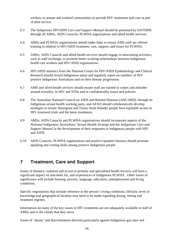workers in remote and isolated communities to provide HIV treatments and care as part of their service.

- 6.3 The *Indigenous HIV/AIDS Care and Support Manual* should be promoted by OATSIHS through all AMSs, AIDS Councils, PLWHA organisations and allied health services.
- 6.4 AMSs and PLWHA organisations should make links to ensure AMS staff are offered training in relation to HIV/AIDS treatment, care, support, and issues for PLWHA.
- 6.5 AMSs, AIDS Councils and allied health services should engage in networking activities, such as staff exchange, to promote better working relationships between Indigenous health care workers and HIV/AIDS organisations.
- 6.6 HIV/AIDS statistics from the National Centre for HIV/AIDS Epidemiology and Clinical Research should record Indigenous status and regularly report on numbers of HIV positive Indigenous Australians and on their disease progression.
- 6.7 AMS and allied health services should ensure staff are trained in values and attitudes around sexuality, in HIV and STDs and in confidentiality issues and policies.
- 6.8 The Australian National Council on AIDS and Related Diseases (ANCARD), through its Indigenous sexual health working party, and AFAO should collaboratively develop strategies to ensure Aboriginal and Torres Strait Islander people have equitable access to HIV treatment trials and the latest treatments.
- 6.9 AMSs, AIDS Councils and PLWHA organisations should incorporate aspects of the *National Indigenous Australians' Sexual Health Strategy* and the *Indigenous Care and Support Manual* in the development of their responses to Indigenous people with HIV and AIDS.
- 6.10 AIDS Councils, PLWHA organisations and positive speakers bureaus should promote speaking and writing skills among positive Indigenous people.

#### **7 Treatment, Care and Support**

Issues of distance, isolation and access to primary and specialised health services will have a significant impact on outcomes for, and experiences of Indigenous PLWHA. Other issues of significance will include housing, poverty, language, education, unemployment and living conditions.

Specific negotiations that include reference to the person's living conditions, lifestyle, level of knowledge and geographical location may need to be made regarding dosing, timing and treatment regimes.

Information on many of the key issues in HIV treatments are not adequately available to staff of AMSs and to the clients that they serve.

Issues of 'shame' and discrimination directed particularly against Indigenous gay men and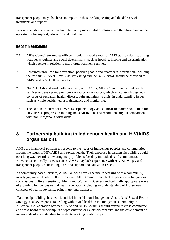transgender people may also have an impact on those seeking testing and the delivery of treatments and support.

Fear of alienation and rejection from the family may inhibit disclosure and therefore remove the opportunity for support, education and treatment.

#### Recommendations

- 7.1 AIDS Council treatments officers should run workshops for AMS staff on dosing, timing, treatments regimes and social determinants, such as housing, income and discrimination, which operate in relation to multi-drug treatment regimes.
- 7.2 Resources produced for prevention, positive people and treatments information, including the *National AIDS Bulletin*, *Positive Living* and the *HIV Herald*, should be provided to AMSs and NACCHO networks.
- 7.3 NACCHO should work collaboratively with AMSs, AIDS Councils and allied health services to develop and promote a resource, or resources, which articulates Indigenous concepts of sexuality, health, disease, pain and injury to assist in understanding issues such as whole health, health maintenance and monitoring.
- 7.4 The National Centre for HIV/AIDS Epidemiology and Clinical Research should monitor HIV disease progression in Indigenous Australians and report annually on comparisons with non-Indigenous Australians.

#### **8 Partnership building in Indigenous health and HIV/AIDS organisations**

AMSs are in an ideal position to respond to the needs of Indigenous peoples and communities around the issues of HIV/AIDS and sexual health. Their expertise in partnership building could go a long way towards alleviating many problems faced by individuals and communities. However, as clinically based services, AMSs may lack experience with HIV/AIDS, gay and transgender people, counselling, care and support and education issues.

As community-based services, AIDS Councils have expertise in working with a community, mostly gay male, at risk of HIV. However, AIDS Councils may lack experience in Indigenous social issues, cultural sensitivity, Men's and Women's Business and culturally appropriate ways of providing Indigenous sexual health education, including an understanding of Indigenous concepts of health, sexuality, pain, injury and sickness.

'Partnership building' has been identified in the National Indigenous Australians' Sexual Health Strategy as a key response to dealing with sexual health in the Indigenous community in Australia. Collaboration between AMSs and AIDS Councils should extend to cross-committee and cross-board membership, in a representative or ex-officio capacity, and the development of memoranda of understanding to facilitate working relationships.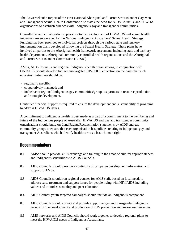The Anwernekenhe Report of the First National Aboriginal and Torres Strait Islander Gay Men and Transgender Sexual Health Conference also states the need for AIDS Councils, and PLWHA organisations to establish alliances with Indigenous gay and transgender communities.

Consultative and collaborative approaches to the development of HIV/AIDS and sexual health initiatives are encouraged by the National Indigenous Australians' Sexual Health Strategy. Funding has been provided to individual projects through the various state and territory implementation plans developed following the Sexual Health Strategy. These plans have involved all parties to the Aboriginal health framework agreements including state and territory health departments, Aboriginal community controlled health organisations and the Aboriginal and Torres Strait Islander Commission (ATSIC).

AMSs, AIDS Councils and regional Indigenous health organisations, in conjunction with OATSIHS, should develop Indigenous-targeted HIV/AIDS education on the basis that such education initiatives should be:

- · regionally specific;
- · cooperatively managed; and
- · inclusive of regional Indigenous gay communities/groups as partners in resource production and strategic development.

Continued financial support is required to ensure the development and sustainability of programs to address HIV/AIDS issues.

A commitment to Indigenous health is best made as a part of a commitment to the well being and future of the Indigenous people of Australia. HIV/AIDS and gay and transgender community organisations should build on Land Rights/Reconciliation statements by AIDS and gay community groups to ensure that each organisation has policies relating to Indigenous gay and transgender Australians which identify health care as a basic human right.

#### Recommendations

- 8.1 AMSs should provide skills exchange and training in the areas of cultural appropriateness and Indigenous sensibilities to AIDS Councils.
- 8.2 AIDS Councils should provide a continuity of campaign development information and support to AMS<sub>s</sub>.
- 8.3 AIDS Councils should run regional courses for AMS staff, based on local need, to address care, treatment and support issues for people living with HIV/AIDS including values and attitudes, sexuality and peer education.
- 8.4 AIDS Council youth-targeted campaigns should include an Indigenous component.
- 8.5 AIDS Councils should contact and provide support to gay and transgender Indigenous groups for the development and production of HIV prevention and awareness resources.
- 8.6 AMS networks and AIDS Councils should work together to develop regional plans to meet the HIV/AIDS needs of Indigenous Australians.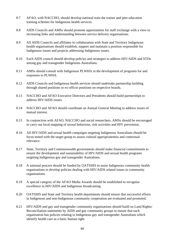- 8.7 AFAO, with NACCHO, should develop national train the trainer and peer education training schemes for Indigenous health services.
- 8.8 AIDS Councils and AMSs should promote opportunities for staff exchange with a view to increasing links and understanding between service delivery organisations.
- 8.9 All AIDS Councils and affiliates in collaboration with State and Territory Indigenous health organisations should establish, support and maintain a position responsible for Indigenous issues and projects addressing Indigenous issues.
- 8.10 Each AIDS council should develop policies and strategies to address HIV/AIDS and STDs among gay and transgender Indigenous Australians.
- 8.11 AMSs should consult with Indigenous PLWHA in the development of programs for and responses to PLWHA.
- 8.12 AIDS Councils and Indigenous health services should undertake partnership building through shared positions or ex-officio positions on respective boards.
- 8.13 NACCHO and AFAO Executive Directors and Presidents should build partnerships to address HIV/AIDS issues.
- 8.14 NACCHO and AFAO should coordinate an Annual General Meeting to address issues of mutual interest.
- 8.15 In conjunction with AFAO, NACCHO and social researchers, AMSs should be encouraged to carry out local mapping of sexual behaviour, risk activities and HIV prevention.
- 8.16 All HIV/AIDS and sexual health campaigns targeting Indigenous Australians should be focus tested with the target group to assess cultural appropriateness and contextual relevance.
- 8.17 State, Territory and Commonwealth governments should make financial commitments to ensure the development and sustainability of HIV/AIDS and sexual health programs targeting Indigenous gay and transgender Australians.
- 8.18 A national process should be funded by OATSIHS to assist Indigenous community health organisations to develop policies dealing with HIV/AIDS related issues in community organisations.
- 8.19 A special category of the AFAO Media Awards should be established to recognise excellence in HIV/AIDS and Indigenous broadcasting.
- 8.20 OATSIHS and State and Territory health departments should ensure that successful efforts in Indigenous and non-Indigenous community cooperation are evaluated and promoted.
- 8.21 HIV/AIDS and gay and transgender community organisations should build on Land Rights/ Reconciliation statements by AIDS and gay community groups to ensure that each organisation has policies relating to Indigenous gay and transgender Australians which identify health care as a basic human right.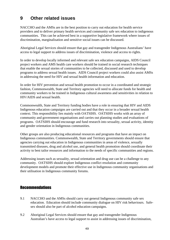### **9 Other related issues**

NACCHO and the AMSs are in the best position to carry out education for health service providers and to deliver primary health services and community safe sex education to indigenous communities. This can be achieved best in a supportive legislative framework where issues of discrimination, marginalisation and sensitive social issues can be discussed.

Aboriginal Legal Services should ensure that gay and transgender Indigenous Australians' have access to legal support to address issues of discrimination, violence and access to rights.

In order to develop locally informed and relevant safe sex education campaigns, AIDS Council project workers and AMS health care workers should be trained in social research techniques that enable the sexual stories of communities to be collected, discussed and used to develop programs to address sexual health issues. AIDS Council project workers could also assist AMSs in addressing the need for HIV and sexual health information and education.

In order for HIV prevention and sexual health promotion to occur in a coordinated and strategic fashion, Commonwealth, State and Territory agencies will need to allocate funds for health and community workers to be trained in Indigenous cultural awareness and sensitivities in relation to HIV/AIDS and sexual health.

Commonwealth, State and Territory funding bodies have a role in ensuring that HIV and AIDS Indigenous education campaigns are carried out and that they occur in a broader sexual health context. This responsibility lies mainly with OATSIHS. OATSIHS works with an array of community and government organisations and carries out planning studies and evaluations of programs. OATSIHS should encourage and fund research into sexuality, sexual activity, identity and gender orientation in Indigenous communities.

Other groups are also producing educational resources and programs that have an impact on Indigenous communities. Commonwealth, State and Territory governments should ensure that agencies carrying out education in Indigenous communities in areas of violence, sexually transmitted diseases, drug and alcohol use, and general health promotion should coordinate their activity to best tailor resources and information to the needs of specific communities and regions.

Addressing issues such as sexuality, sexual orientation and drug use can be a challenge to any community. OATSIHS should explore Indigenous conflict resolution and community development models and promote their effective use in Indigenous community organisations and their utilisation in Indigenous community forums.

#### **Recommendations**

- 9.1 NACCHO and the AMSs should carry out general Indigenous community safe sex education. Education should include community dialogue on HIV risk behaviours. Safesex should also be part of alcohol education campaigns.
- 9.2 Aboriginal Legal Services should ensure that gay and transgender Indigenous Australian's have access to legal support to assist in addressing issues of discrimination,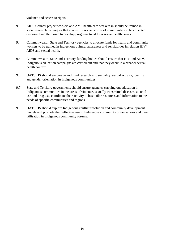violence and access to rights.

- 9.3 AIDS Council project workers and AMS health care workers in should be trained in social research techniques that enable the sexual stories of communities to be collected, discussed and then used to develop programs to address sexual health issues.
- 9.4 Commonwealth, State and Territory agencies to allocate funds for health and community workers to be trained in Indigenous cultural awareness and sensitivities in relation HIV/ AIDS and sexual health.
- 9.5 Commonwealth, State and Territory funding bodies should ensure that HIV and AIDS Indigenous education campaigns are carried out and that they occur in a broader sexual health context.
- 9.6 OATSIHS should encourage and fund research into sexuality, sexual activity, identity and gender orientation in Indigenous communities.
- 9.7 State and Territory governments should ensure agencies carrying out education in Indigenous communities in the areas of violence, sexually transmitted diseases, alcohol use and drug use, coordinate their activity to best tailor resources and information to the needs of specific communities and regions.
- 9.8 OATSIHS should explore Indigenous conflict resolution and community development models and promote their effective use in Indigenous community organisations and their utilisation in Indigenous community forums.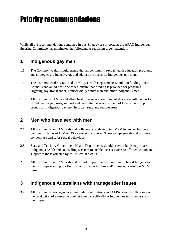While all the recommendations contained in this Strategy are important, the AFAO Indigenous Steering Committee has nominated the following as requiring urgent attention.

#### **1 Indigenous gay men**

- 1.1 The Commonwealth should ensure that all community sexual health education programs and strategies are inclusive of, and address the needs of, Indigenous gay men.
- 1.5 The Commonwealth, State and Territory Health Departments should, in funding AIDS Councils and allied health services, ensure that funding is provided for programs targeting gay, transgender, homosexually active men and other Indigenous men.
- 1.6 AIDS Councils, AMSs and allied health services should, in collaboration with networks of Indigenous gay men, support and facilitate the establishment of local social support groups for Indigenous gay men in urban, rural and remote areas.

#### **2 Men who have sex with men**

- 2.1 AIDS Councils and AMSs should collaborate on developing MSM inclusive, but broad, community targeted HIV/AIDS awareness resources. These campaigns should promote condom use and safer sexual behaviour.
- 2.5 State and Territory Government Health Departments should provide funds to primary Indigenous health and counselling services to enable these services to offer education and support to those affected by MSM sexual assault.
- 2.6 AIDS Councils and AMSs should provide support to any community based Indigenous men's groups wanting to offer discussion opportunities and/or peer education on MSM issues.

#### **3 Indigenous Australians with transgender issues**

3.4 AIDS Councils, transgender community organisations and AMSs, should collaborate on the production of a resource booklet aimed specifically at Indigenous transgenders and their issues.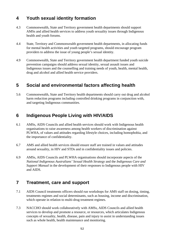### **4 Youth sexual identity formation**

- 4.3 Commonwealth, State and Territory government health departments should support AMSs and allied health services to address youth sexuality issues through Indigenous health and youth forums.
- 4.4 State, Territory and Commonwealth government health departments, in allocating funds for mental health activities and youth targeted programs, should encourage program providers to address the issue of young people's sexual identity.
- 4.9 Commonwealth, State and Territory government health department funded youth suicide prevention campaigns should address sexual identity, sexual assault issues and Indigenous issues and the counselling and training needs of youth, health, mental health, drug and alcohol and allied health service providers.

### **5 Social and environmental factors affecting health**

5.6 Commonwealth, State and Territory health departments should carry out drug and alcohol harm reduction programs including controlled drinking programs in conjunction with, and targeting Indigenous communities.

#### **6 Indigenous People Living with HIV/AIDS**

- 6.1 AMSs, AIDS Councils and allied health services should work with Indigenous health organisations to raise awareness among health workers of discrimination against PLWHA, of values and attitudes regarding lifestyle choices, including homophobia, and the importance of confidentiality.
- 6.7 AMS and allied health services should ensure staff are trained in values and attitudes around sexuality, in HIV and STDs and in confidentiality issues and policies.
- 6.9 AMSs, AIDS Councils and PLWHA organisations should incorporate aspects of the *National Indigenous Australians' Sexual Health Strategy* and the *Indigenous Care and Support Manual* in the development of their responses to Indigenous people with HIV and AIDS.

#### **7 Treatment, care and support**

- 7.1 AIDS Council treatments officers should run workshops for AMS staff on dosing, timing, treatments regimes and social determinants, such as housing, income and discrimination, which operate in relation to multi-drug treatment regimes.
- 7.3 NACCHO should work collaboratively with AMSs, AIDS Councils and allied health services to develop and promote a resource, or resources, which articulates Indigenous concepts of sexuality, health, disease, pain and injury to assist in understanding issues such as whole health, health maintenance and monitoring.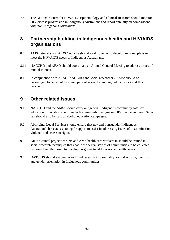7.4 The National Centre for HIV/AIDS Epidemiology and Clinical Research should monitor HIV disease progression in Indigenous Australians and report annually on comparisons with non-Indigenous Australians.

#### **8 Partnership building in Indigenous health and HIV/AIDS organisations**

- 8.6 AMS networks and AIDS Councils should work together to develop regional plans to meet the HIV/AIDS needs of Indigenous Australians.
- 8.14 NACCHO and AFAO should coordinate an Annual General Meeting to address issues of mutual interest.
- 8.15 In conjunction with AFAO, NACCHO and social researchers, AMSs should be encouraged to carry out local mapping of sexual behaviour, risk activities and HIV prevention.

#### **9 Other related issues**

- 9.1 NACCHO and the AMSs should carry out general Indigenous community safe sex education. Education should include community dialogue on HIV risk behaviours. Safesex should also be part of alcohol education campaigns.
- 9.2 Aboriginal Legal Services should ensure that gay and transgender Indigenous Australian's have access to legal support to assist in addressing issues of discrimination, violence and access to rights.
- 9.3 AIDS Council project workers and AMS health care workers in should be trained in social research techniques that enable the sexual stories of communities to be collected, discussed and then used to develop programs to address sexual health issues.
- 9.6 OATSIHS should encourage and fund research into sexuality, sexual activity, identity and gender orientation in Indigenous communities.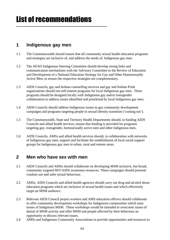#### **1 Indigenous gay men**

- 1.1 The Commonwealth should ensure that all community sexual health education programs and strategies are inclusive of, and address the needs of, Indigenous gay men.
- 1.2 The AFAO Indigenous Steering Committee should develop strong links and communication mechanisms with the Advisory Committee to the Review of Education and Development of a National Education Strategy for Gay and Other Homosexually Active Men, to ensure the respective strategies are complementary.
- 1.3 AIDS Councils, gay and lesbian counselling services and gay and lesbian Pride organisations should run self-esteem programs for local Indigenous gay men. These programs should be designed locally with Indigenous gay and/or transgender collaboration to address issues identified and prioritised by local Indigenous gay men.
- 1.4 AIDS Councils should address Indigenous issues in gay community development campaigns and programs targeting people in sexual identity transition ('coming out').
- 1.5 The Commonwealth, State and Territory Health Departments should, in funding AIDS Councils and allied health services, ensure that funding is provided for programs targeting gay, transgender, homosexually active men and other Indigenous men.
- 1.6 AIDS Councils, AMSs and allied health services should, in collaboration with networks of Indigenous gay men, support and facilitate the establishment of local social support groups for Indigenous gay men in urban, rural and remote areas.

#### **2 Men who have sex with men**

- 2.1 AIDS Councils and AMSs should collaborate on developing MSM inclusive, but broad, community targeted HIV/AIDS awareness resources. These campaigns should promote condom use and safer sexual behaviour.
- 2.2 AMSs, AIDS Councils and allied health agencies should carry out drug and alcohol abuse education programs which are inclusive of sexual health issues and which effectively target an MSM audience.
- 2.3 Relevant AIDS Council project workers and AMS education officers should collaborate to offer community development workshops for Indigenous communities which raise issues of Indigenous MSM. These workshops would be intended to overcome issues of denial of MSM activity and offer MSM and people affected by their behaviour an opportunity to discuss relevant issues.
- 2.4 AMSs and Indigenous Community Associations to provide opportunities and resources to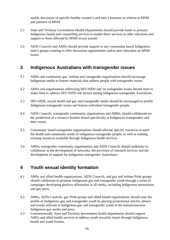enable discussion of specific healthy women's and men's business in relation to MSM and partners of MSM.

- 2.5 State and Territory Government Health Departments should provide funds to primary Indigenous health and counselling services to enable these services to offer education and support to those affected by MSM sexual assault.
- 2.6 AIDS Councils and AMSs should provide support to any community based Indigenous men's groups wanting to offer discussion opportunities and/or peer education on MSM issues.

#### **3 Indigenous Australians with transgender issues**

- 3.1 AMSs and community gay, lesbian and transgender organisations should encourage Indigenous media to feature materials that address people with transgender issues.
- 3.2 AMSs and organisations addressing HIV/AIDS and /or transgender issues should meet to make links to address HIV/AIDS risk factors among Indigenous transgender Australians.
- 3.3 HIV/AIDS, sexual health and gay and transgender media should be encouraged to profile Indigenous transgender issues and feature individual transgender people.
- 3.4 AIDS Councils, transgender community organisations and AMSs, should collaborate on the production of a resource booklet aimed specifically at Indigenous transgenders and their issues.
- 3.5 Community based transgender organisations should allocate specific resources to meet the health and community needs of Indigenous transgender people, as well as making existing resources available through Indigenous health services.
- 3.6 AMSs, transgender community organisations and AIDS Councils should undertake to collaborate in the development of networks, the provision of outreach services and the development of support for Indigenous transgender Australians.

#### **4 Youth sexual identity formation**

- 4.1 AMSs and allied health organisations, AIDS Councils, and gay and lesbian Pride groups should collaborate to promote Indigenous gay and transgender youth through a series of campaigns developing positive affirmation in all media, including Indigenous mainstream and gay press.
- 4.2 AMSs, AIDS Councils, gay Pride groups and allied health organisations should raise the profile of Indigenous gay and transgender youth by placing promotional articles, photos and events relevant to Indigenous gay and transgender youth in the mainstream/non-Indigenous gay media and press.
- 4.3 Commonwealth, State and Territory government health departments should support AMSs and allied health services to address youth sexuality issues through Indigenous health and youth forums.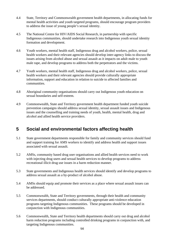- 4.4 State, Territory and Commonwealth government health departments, in allocating funds for mental health activities and youth targeted programs, should encourage program providers to address the issue of young people's sexual identity.
- 4.5 The National Centre for HIV/AIDS Social Research, in partnership with specific Indigenous communities, should undertake research into Indigenous youth sexual identity formation and development.
- 4.6 Youth workers, mental health staff, Indigenous drug and alcohol workers, police, sexual health workers and their relevant agencies should develop inter-agency links to discuss the issues arising from alcohol abuse and sexual assault as it impacts on adult male to youth male rape, and develop programs to address both the perpetrators and the victims.
- 4.7 Youth workers, mental health staff, Indigenous drug and alcohol workers, police, sexual health workers and their relevant agencies should provide culturally appropriate information, support and education in relation to suicide to affected families and communities.
- 4.8 Aboriginal community organisations should carry out Indigenous youth education on sexual boundaries and self-esteem.
- 4.9 Commonwealth, State and Territory government health department funded youth suicide prevention campaigns should address sexual identity, sexual assault issues and Indigenous issues and the counselling and training needs of youth, health, mental health, drug and alcohol and allied health service providers.

### **5 Social and environmental factors affecting health**

- 5.1 State government departments responsible for family and community services should fund and support training for AMS workers to identify and address health and support issues associated with sexual assault.
- 5.2 AMSs, community based drug user organisations and allied health services need to work with injecting drug users and sexual health services to develop programs to address recreational illicit drug use issues in a harm reduction manner.
- 5.3 State governments and Indigenous health services should identify and develop programs to address sexual assault as a by-product of alcohol abuse.
- 5.4 AMSs should equip and promote their services as a place where sexual assault issues can be addressed.
- 5.5 Commonwealth, State and Territory governments, through their health and community services departments, should conduct culturally appropriate anti-violence education programs targeting Indigenous communities. These programs should be developed in conjunction with Indigenous communities.
- 5.6 Commonwealth, State and Territory health departments should carry out drug and alcohol harm reduction programs including controlled drinking programs in conjunction with, and targeting Indigenous communities.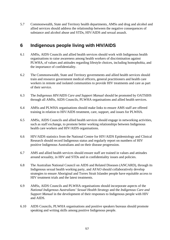5.7 Commonwealth, State and Territory health departments, AMSs and drug and alcohol and allied services should address the relationship between the negative consequences of substance and alcohol abuse and STDs, HIV/AIDS and sexual assault.

#### **6 Indigenous people living with HIV/AIDS**

- 6.1 AMSs, AIDS Councils and allied health services should work with Indigenous health organisations to raise awareness among health workers of discrimination against PLWHA, of values and attitudes regarding lifestyle choices, including homophobia, and the importance of confidentiality.
- 6.2 The Commonwealth, State and Territory governments and allied health services should train and resource government medical officers, general practitioners and health care workers in remote and isolated communities to provide HIV treatments and care as part of their service.
- 6.3 The *Indigenous HIV/AIDS Care and Support Manual* should be promoted by OATSIHS through all AMSs, AIDS Councils, PLWHA organisations and allied health services.
- 6.4 AMSs and PLWHA organisations should make links to ensure AMS staff are offered training in relation to HIV/AIDS treatment, care, support, and issues for PLWHA.
- 6.5 AMSs, AIDS Councils and allied health services should engage in networking activities, such as staff exchange, to promote better working relationships between Indigenous health care workers and HIV/AIDS organisations.
- 6.6 HIV/AIDS statistics from the National Centre for HIV/AIDS Epidemiology and Clinical Research should record Indigenous status and regularly report on numbers of HIV positive Indigenous Australians and on their disease progression.
- 6.7 AMS and allied health services should ensure staff are trained in values and attitudes around sexuality, in HIV and STDs and in confidentiality issues and policies.
- 6.8 The Australian National Council on AIDS and Related Diseases (ANCARD), through its Indigenous sexual health working party, and AFAO should collaboratively develop strategies to ensure Aboriginal and Torres Strait Islander people have equitable access to HIV treatment trials and the latest treatments.
- 6.9 AMSs, AIDS Councils and PLWHA organisations should incorporate aspects of the *National Indigenous Australians' Sexual Health Strategy* and the *Indigenous Care and Support Manual* in the development of their responses to Indigenous people with HIV and AIDS.
- 6.10 AIDS Councils, PLWHA organisations and positive speakers bureaus should promote speaking and writing skills among positive Indigenous people.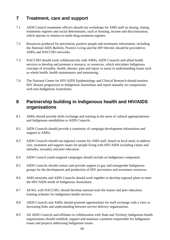### **7 Treatment, care and support**

- 7.1 AIDS Council treatments officers should run workshops for AMS staff on dosing, timing, treatments regimes and social determinants, such as housing, income and discrimination, which operate in relation to multi-drug treatment regimes.
- 7.2 Resources produced for prevention, positive people and treatments information, including the *National AIDS Bulletin*, *Positive Living* and the *HIV Herald*, should be provided to AMSs and NACCHO networks.
- 7.3 NACCHO should work collaboratively with AMSs, AIDS Councils and allied health services to develop and promote a resource, or resources, which articulates Indigenous concepts of sexuality, health, disease, pain and injury to assist in understanding issues such as whole health, health maintenance and monitoring.
- 7.4 The National Centre for HIV/AIDS Epidemiology and Clinical Research should monitor HIV disease progression in Indigenous Australians and report annually on comparisons with non-Indigenous Australians.

#### **8 Partnership building in Indigenous health and HIV/AIDS organisations**

- 8.1 AMSs should provide skills exchange and training in the areas of cultural appropriateness and Indigenous sensibilities to AIDS Councils.
- 8.2 AIDS Councils should provide a continuity of campaign development information and support to AMS<sub>s</sub>.
- 8.3 AIDS Councils should run regional courses for AMS staff, based on local need, to address care, treatment and support issues for people living with HIV/AIDS including values and attitudes, sexuality and peer education.
- 8.4 AIDS Council youth-targeted campaigns should include an Indigenous component.
- 8.5 AIDS Councils should contact and provide support to gay and transgender Indigenous groups for the development and production of HIV prevention and awareness resources.
- 8.6 AMS networks and AIDS Councils should work together to develop regional plans to meet the HIV/AIDS needs of Indigenous Australians.
- 8.7 AFAO, with NACCHO, should develop national train the trainer and peer education training schemes for Indigenous health services.
- 8.8 AIDS Councils and AMSs should promote opportunities for staff exchange with a view to increasing links and understanding between service delivery organisations.
- 8.9 All AIDS Councils and affiliates in collaboration with State and Territory Indigenous health organisations should establish, support and maintain a position responsible for Indigenous issues and projects addressing Indigenous issues.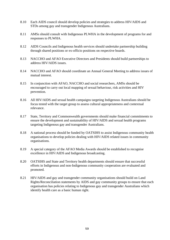- 8.10 Each AIDS council should develop policies and strategies to address HIV/AIDS and STDs among gay and transgender Indigenous Australians.
- 8.11 AMSs should consult with Indigenous PLWHA in the development of programs for and responses to PLWHA.
- 8.12 AIDS Councils and Indigenous health services should undertake partnership building through shared positions or ex-officio positions on respective boards.
- 8.13 NACCHO and AFAO Executive Directors and Presidents should build partnerships to address HIV/AIDS issues.
- 8.14 NACCHO and AFAO should coordinate an Annual General Meeting to address issues of mutual interest.
- 8.15 In conjunction with AFAO, NACCHO and social researchers, AMSs should be encouraged to carry out local mapping of sexual behaviour, risk activities and HIV prevention.
- 8.16 All HIV/AIDS and sexual health campaigns targeting Indigenous Australians should be focus tested with the target group to assess cultural appropriateness and contextual relevance.
- 8.17 State, Territory and Commonwealth governments should make financial commitments to ensure the development and sustainability of HIV/AIDS and sexual health programs targeting Indigenous gay and transgender Australians.
- 8.18 A national process should be funded by OATSIHS to assist Indigenous community health organisations to develop policies dealing with HIV/AIDS related issues in community organisations.
- 8.19 A special category of the AFAO Media Awards should be established to recognise excellence in HIV/AIDS and Indigenous broadcasting.
- 8.20 OATSIHS and State and Territory health departments should ensure that successful efforts in Indigenous and non-Indigenous community cooperation are evaluated and promoted.
- 8.21 HIV/AIDS and gay and transgender community organisations should build on Land Rights/Reconciliation statements by AIDS and gay community groups to ensure that each organisation has policies relating to Indigenous gay and transgender Australians which identify health care as a basic human right.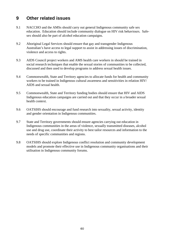#### **9 Other related issues**

- 9.1 NACCHO and the AMSs should carry out general Indigenous community safe sex education. Education should include community dialogue on HIV risk behaviours. Safesex should also be part of alcohol education campaigns.
- 9.2 Aboriginal Legal Services should ensure that gay and transgender Indigenous Australian's have access to legal support to assist in addressing issues of discrimination, violence and access to rights.
- 9.3 AIDS Council project workers and AMS health care workers in should be trained in social research techniques that enable the sexual stories of communities to be collected, discussed and then used to develop programs to address sexual health issues.
- 9.4 Commonwealth, State and Territory agencies to allocate funds for health and community workers to be trained in Indigenous cultural awareness and sensitivities in relation HIV/ AIDS and sexual health.
- 9.5 Commonwealth, State and Territory funding bodies should ensure that HIV and AIDS Indigenous education campaigns are carried out and that they occur in a broader sexual health context.
- 9.6 OATSIHS should encourage and fund research into sexuality, sexual activity, identity and gender orientation in Indigenous communities.
- 9.7 State and Territory governments should ensure agencies carrying out education in Indigenous communities in the areas of violence, sexually transmitted diseases, alcohol use and drug use, coordinate their activity to best tailor resources and information to the needs of specific communities and regions.
- 9.8 OATSIHS should explore Indigenous conflict resolution and community development models and promote their effective use in Indigenous community organisations and their utilisation in Indigenous community forums.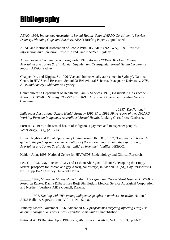# **Bibliography**

AFAO, 1996, *Indigenous Australian's Sexual Health- Scan of AFAO Constituent's Service Delivery, Planning Gaps and Barriers,* AFAO Briefing Papers, unpublished.

AFAO and National Association of People With HIV/AIDS (NAPWA), 1997, *Positive Information and Education Project*, AFAO and NAPWA, Sydney.

Anwernekenhe Conference Working Party, 1996, *ANWERNEKENHE - First National Aboriginal and Torres Strait Islander Gay Men and Transgender Sexual Health Conference Report*, AFAO, Sydney.

Chappel, M., and Kippax, S., 1996 'Gay and homosexually active men in Sydney', National Centre in HIV Social Research, School Of Behavioural Sciences, Macquarie University, *HIV, AIDS and Society Publications,* Sydney.

Commonwealth Department of Health and Family Services, 1996, *Partnerships in Practice - National HIV/AIDS Strategy 1996-97 to 1998-99*, Australian Government Printing Service, Canberra.

\_\_\_\_\_\_\_\_\_\_\_\_\_\_\_\_\_\_\_\_\_\_\_\_\_\_\_\_\_\_\_\_\_\_\_\_\_\_\_\_\_\_\_\_\_\_\_\_\_\_\_\_\_\_\_\_, 1997, *The National Indigenous Australians' Sexual Health Strategy 1996-97 to 1998-99: A report of the ANCARD Working Party on Indigenous Australians' Sexual Health*, Looking Glass Press, Canberra.

Forrest, B., 1995, 'The sexual health of indigenous gay men and transgender people', *Veneriology*, 8 (1), pp 13-14.

Human Rights and Equal Opportunity Commission (HREOC), 1997, *Bringing them home: A guide to the findings and recommendations of the national inquiry into the separation of Aboriginal and Torres Strait Islander children from their families,* HREOC*.*

Kaldor, John, 1996, National Centre for HIV/AIDS Epidemiology and Clinical Research.

Lee, G., 1993, 'Gay Racism', 'Gay and Lesbian Aboriginal Alliance', 'Peopling the Empty Mirror: prospects for lesbian and gay Aboriginal history', in Aldrich, R. (ed), *Gay Perspectives,* No. 11, pp 15-20*,* Sydney University Press.

\_\_\_\_\_\_, 1996, *Malaga to Malaga-Man to Man: Aboriginal and Torres Strait Islander HIV/AIDS Research Report*, Danila Dilba Biluru Butji Binnilutlum Medical Service Aboriginal Corporation and Northern Territory AIDS Council, Darwin.

\_\_\_\_\_\_, 1997, *Dealing with HIV among Indigenous peoples in northern Australia*, National AIDS Bulletin, Sept/Oct issue, Vol. 11, No. 5, p 8.

Timothy Moore*,* November 1996*, Update on HIV programmes targeting Injecting Drug Use among Aboriginal & Torres Strait Islander Communities*, unpublished.

National AIDS Bulletin, April 1989 issue, *Aborigines and AIDS*, Vol. 3, No. 3, pp 14-31.